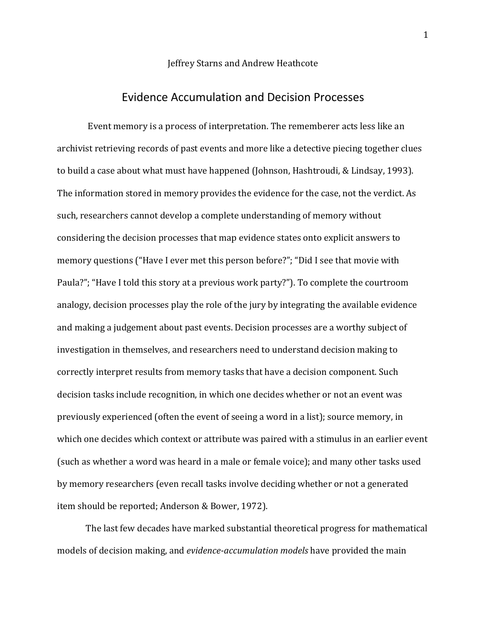#### Jeffrey Starns and Andrew Heathcote

# Evidence Accumulation and Decision Processes

Event memory is a process of interpretation. The rememberer acts less like an archivist retrieving records of past events and more like a detective piecing together clues to build a case about what must have happened (Johnson, Hashtroudi, & Lindsay, 1993). The information stored in memory provides the evidence for the case, not the verdict. As such, researchers cannot develop a complete understanding of memory without considering the decision processes that map evidence states onto explicit answers to memory questions ("Have I ever met this person before?"; "Did I see that movie with Paula?"; "Have I told this story at a previous work party?"). To complete the courtroom analogy, decision processes play the role of the jury by integrating the available evidence and making a judgement about past events. Decision processes are a worthy subject of investigation in themselves, and researchers need to understand decision making to correctly interpret results from memory tasks that have a decision component. Such decision tasks include recognition, in which one decides whether or not an event was previously experienced (often the event of seeing a word in a list); source memory, in which one decides which context or attribute was paired with a stimulus in an earlier event (such as whether a word was heard in a male or female voice); and many other tasks used by memory researchers (even recall tasks involve deciding whether or not a generated item should be reported; Anderson & Bower, 1972).

The last few decades have marked substantial theoretical progress for mathematical models of decision making, and *evidence-accumulation models* have provided the main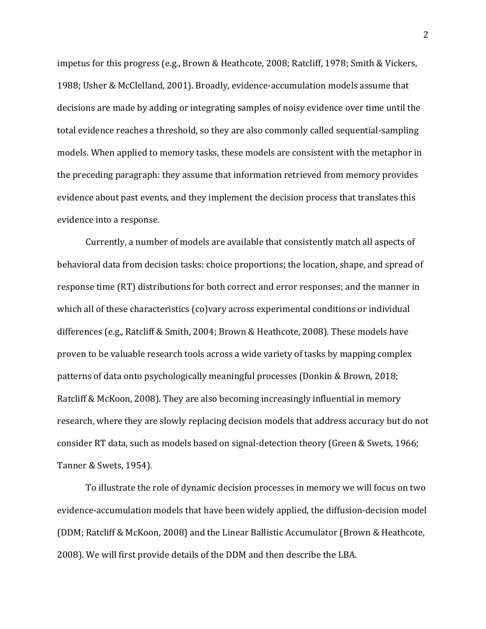impetus for this progress (e.g., Brown & Heathcote, 2008; Ratcliff, 1978; Smith & Vickers, 1988; Usher & McClelland, 2001). Broadly, evidence-accumulation models assume that decisions are made by adding or integrating samples of noisy evidence over time until the total evidence reaches a threshold, so they are also commonly called sequential-sampling models. When applied to memory tasks, these models are consistent with the metaphor in the preceding paragraph: they assume that information retrieved from memory provides evidence about past events, and they implement the decision process that translates this evidence into a response.

Currently, a number of models are available that consistently match all aspects of behavioral data from decision tasks: choice proportions; the location, shape, and spread of response time (RT) distributions for both correct and error responses; and the manner in which all of these characteristics (co)vary across experimental conditions or individual differences (e.g., Ratcliff & Smith, 2004; Brown & Heathcote, 2008). These models have proven to be valuable research tools across a wide variety of tasks by mapping complex patterns of data onto psychologically meaningful processes (Donkin & Brown, 2018; Ratcliff & McKoon, 2008). They are also becoming increasingly influential in memory research, where they are slowly replacing decision models that address accuracy but do not consider RT data, such as models based on signal-detection theory (Green & Swets, 1966; Tanner & Swets, 1954).

To illustrate the role of dynamic decision processes in memory we will focus on two evidence-accumulation models that have been widely applied, the diffusion-decision model (DDM; Ratcliff & McKoon, 2008) and the Linear Ballistic Accumulator (Brown & Heathcote, 2008). We will first provide details of the DDM and then describe the LBA.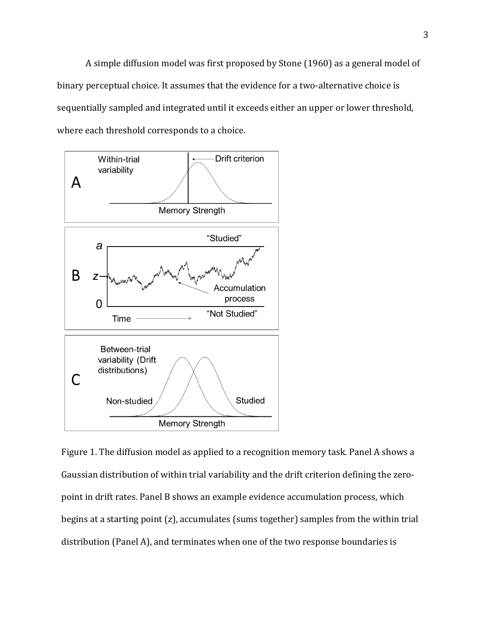A simple diffusion model was first proposed by Stone (1960) as a general model of binary perceptual choice. It assumes that the evidence for a two-alternative choice is sequentially sampled and integrated until it exceeds either an upper or lower threshold, where each threshold corresponds to a choice.



Figure 1. The diffusion model as applied to a recognition memory task. Panel A shows a Gaussian distribution of within trial variability and the drift criterion defining the zeropoint in drift rates. Panel B shows an example evidence accumulation process, which begins at a starting point (z), accumulates (sums together) samples from the within trial distribution (Panel A), and terminates when one of the two response boundaries is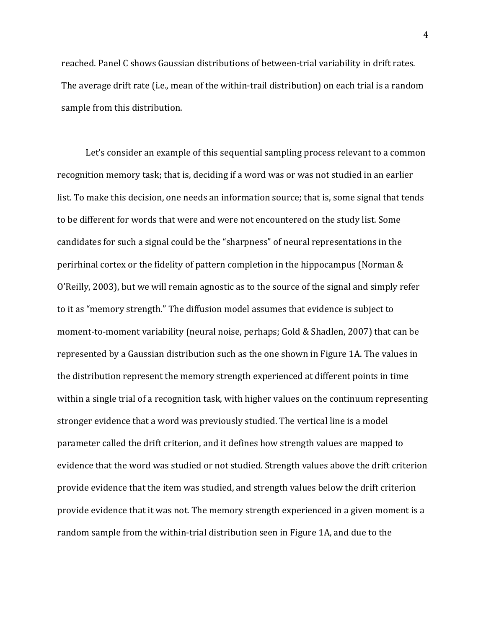reached. Panel C shows Gaussian distributions of between-trial variability in drift rates. The average drift rate (i.e., mean of the within-trail distribution) on each trial is a random sample from this distribution.

Let's consider an example of this sequential sampling process relevant to a common recognition memory task; that is, deciding if a word was or was not studied in an earlier list. To make this decision, one needs an information source; that is, some signal that tends to be different for words that were and were not encountered on the study list. Some candidates for such a signal could be the "sharpness" of neural representations in the perirhinal cortex or the fidelity of pattern completion in the hippocampus (Norman  $&$ O'Reilly, 2003), but we will remain agnostic as to the source of the signal and simply refer to it as "memory strength." The diffusion model assumes that evidence is subject to moment-to-moment variability (neural noise, perhaps; Gold & Shadlen, 2007) that can be represented by a Gaussian distribution such as the one shown in Figure 1A. The values in the distribution represent the memory strength experienced at different points in time within a single trial of a recognition task, with higher values on the continuum representing stronger evidence that a word was previously studied. The vertical line is a model parameter called the drift criterion, and it defines how strength values are mapped to evidence that the word was studied or not studied. Strength values above the drift criterion provide evidence that the item was studied, and strength values below the drift criterion provide evidence that it was not. The memory strength experienced in a given moment is a random sample from the within-trial distribution seen in Figure 1A, and due to the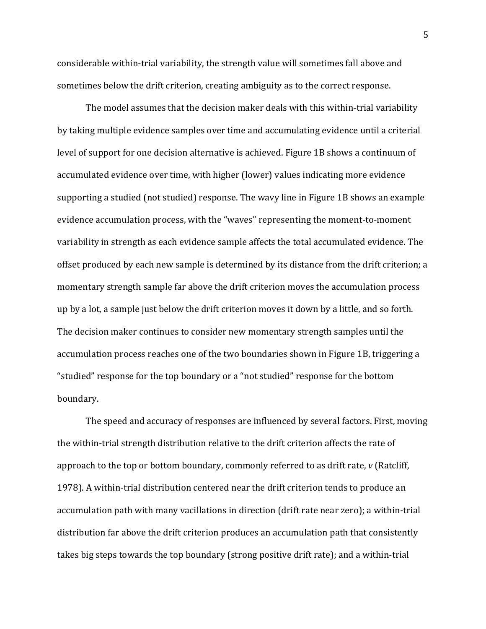considerable within-trial variability, the strength value will sometimes fall above and sometimes below the drift criterion, creating ambiguity as to the correct response.

The model assumes that the decision maker deals with this within-trial variability by taking multiple evidence samples over time and accumulating evidence until a criterial level of support for one decision alternative is achieved. Figure 1B shows a continuum of accumulated evidence over time, with higher (lower) values indicating more evidence supporting a studied (not studied) response. The wavy line in Figure 1B shows an example evidence accumulation process, with the "waves" representing the moment-to-moment variability in strength as each evidence sample affects the total accumulated evidence. The offset produced by each new sample is determined by its distance from the drift criterion; a momentary strength sample far above the drift criterion moves the accumulation process up by a lot, a sample just below the drift criterion moves it down by a little, and so forth. The decision maker continues to consider new momentary strength samples until the accumulation process reaches one of the two boundaries shown in Figure 1B, triggering a "studied" response for the top boundary or a "not studied" response for the bottom boundary. 

The speed and accuracy of responses are influenced by several factors. First, moving the within-trial strength distribution relative to the drift criterion affects the rate of approach to the top or bottom boundary, commonly referred to as drift rate,  $v$  (Ratcliff, 1978). A within-trial distribution centered near the drift criterion tends to produce an accumulation path with many vacillations in direction (drift rate near zero); a within-trial distribution far above the drift criterion produces an accumulation path that consistently takes big steps towards the top boundary (strong positive drift rate); and a within-trial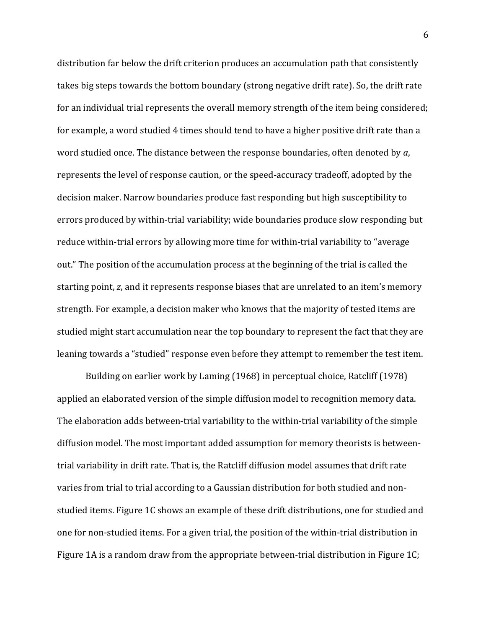distribution far below the drift criterion produces an accumulation path that consistently takes big steps towards the bottom boundary (strong negative drift rate). So, the drift rate for an individual trial represents the overall memory strength of the item being considered; for example, a word studied 4 times should tend to have a higher positive drift rate than a word studied once. The distance between the response boundaries, often denoted by *a*, represents the level of response caution, or the speed-accuracy tradeoff, adopted by the decision maker. Narrow boundaries produce fast responding but high susceptibility to errors produced by within-trial variability; wide boundaries produce slow responding but reduce within-trial errors by allowing more time for within-trial variability to "average out." The position of the accumulation process at the beginning of the trial is called the starting point, z, and it represents response biases that are unrelated to an item's memory strength. For example, a decision maker who knows that the majority of tested items are studied might start accumulation near the top boundary to represent the fact that they are leaning towards a "studied" response even before they attempt to remember the test item.

Building on earlier work by Laming (1968) in perceptual choice, Ratcliff (1978) applied an elaborated version of the simple diffusion model to recognition memory data. The elaboration adds between-trial variability to the within-trial variability of the simple diffusion model. The most important added assumption for memory theorists is betweentrial variability in drift rate. That is, the Ratcliff diffusion model assumes that drift rate varies from trial to trial according to a Gaussian distribution for both studied and nonstudied items. Figure 1C shows an example of these drift distributions, one for studied and one for non-studied items. For a given trial, the position of the within-trial distribution in Figure 1A is a random draw from the appropriate between-trial distribution in Figure 1C;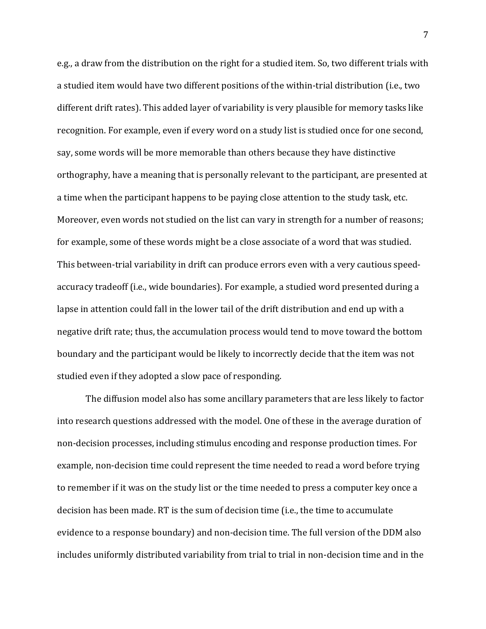e.g., a draw from the distribution on the right for a studied item. So, two different trials with a studied item would have two different positions of the within-trial distribution (i.e., two different drift rates). This added layer of variability is very plausible for memory tasks like recognition. For example, even if every word on a study list is studied once for one second, say, some words will be more memorable than others because they have distinctive orthography, have a meaning that is personally relevant to the participant, are presented at a time when the participant happens to be paying close attention to the study task, etc. Moreover, even words not studied on the list can vary in strength for a number of reasons; for example, some of these words might be a close associate of a word that was studied. This between-trial variability in drift can produce errors even with a very cautious speedaccuracy tradeoff (i.e., wide boundaries). For example, a studied word presented during a lapse in attention could fall in the lower tail of the drift distribution and end up with a negative drift rate; thus, the accumulation process would tend to move toward the bottom boundary and the participant would be likely to incorrectly decide that the item was not studied even if they adopted a slow pace of responding.

The diffusion model also has some ancillary parameters that are less likely to factor into research questions addressed with the model. One of these in the average duration of non-decision processes, including stimulus encoding and response production times. For example, non-decision time could represent the time needed to read a word before trying to remember if it was on the study list or the time needed to press a computer key once a decision has been made. RT is the sum of decision time (i.e., the time to accumulate evidence to a response boundary) and non-decision time. The full version of the DDM also includes uniformly distributed variability from trial to trial in non-decision time and in the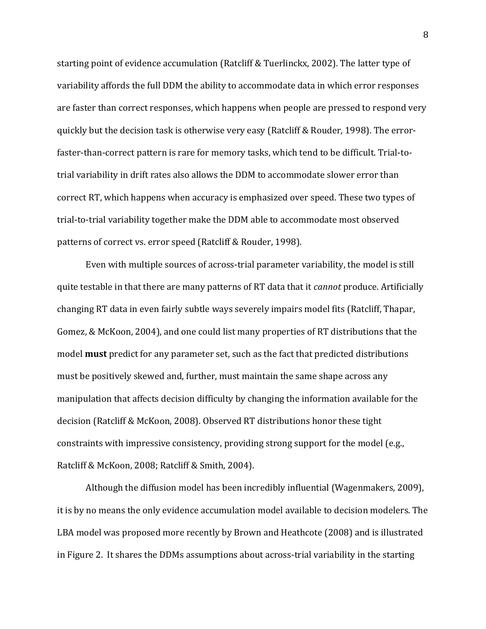starting point of evidence accumulation (Ratcliff & Tuerlinckx, 2002). The latter type of variability affords the full DDM the ability to accommodate data in which error responses are faster than correct responses, which happens when people are pressed to respond very quickly but the decision task is otherwise very easy (Ratcliff & Rouder, 1998). The errorfaster-than-correct pattern is rare for memory tasks, which tend to be difficult. Trial-totrial variability in drift rates also allows the DDM to accommodate slower error than correct RT, which happens when accuracy is emphasized over speed. These two types of trial-to-trial variability together make the DDM able to accommodate most observed patterns of correct vs. error speed (Ratcliff & Rouder, 1998).

Even with multiple sources of across-trial parameter variability, the model is still quite testable in that there are many patterns of RT data that it *cannot* produce. Artificially changing RT data in even fairly subtle ways severely impairs model fits (Ratcliff, Thapar, Gomez, & McKoon, 2004), and one could list many properties of RT distributions that the model **must** predict for any parameter set, such as the fact that predicted distributions must be positively skewed and, further, must maintain the same shape across any manipulation that affects decision difficulty by changing the information available for the decision (Ratcliff & McKoon, 2008). Observed RT distributions honor these tight constraints with impressive consistency, providing strong support for the model (e.g., Ratcliff & McKoon, 2008; Ratcliff & Smith, 2004).

Although the diffusion model has been incredibly influential (Wagenmakers, 2009), it is by no means the only evidence accumulation model available to decision modelers. The LBA model was proposed more recently by Brown and Heathcote (2008) and is illustrated in Figure 2. It shares the DDMs assumptions about across-trial variability in the starting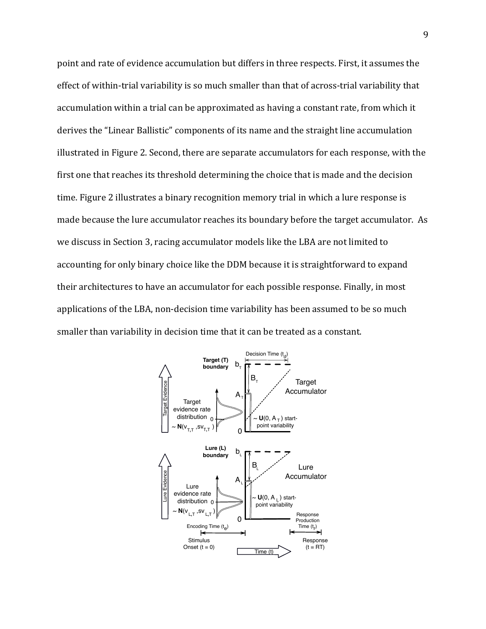point and rate of evidence accumulation but differs in three respects. First, it assumes the effect of within-trial variability is so much smaller than that of across-trial variability that accumulation within a trial can be approximated as having a constant rate, from which it derives the "Linear Ballistic" components of its name and the straight line accumulation illustrated in Figure 2. Second, there are separate accumulators for each response, with the first one that reaches its threshold determining the choice that is made and the decision time. Figure 2 illustrates a binary recognition memory trial in which a lure response is made because the lure accumulator reaches its boundary before the target accumulator. As we discuss in Section 3, racing accumulator models like the LBA are not limited to accounting for only binary choice like the DDM because it is straightforward to expand their architectures to have an accumulator for each possible response. Finally, in most applications of the LBA, non-decision time variability has been assumed to be so much smaller than variability in decision time that it can be treated as a constant.

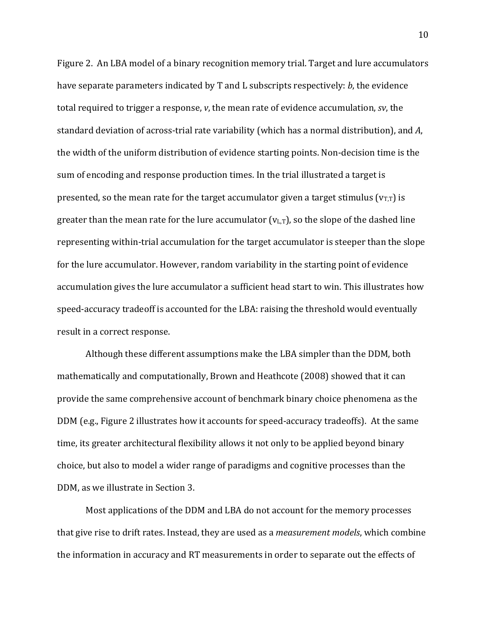Figure 2. An LBA model of a binary recognition memory trial. Target and lure accumulators have separate parameters indicated by T and L subscripts respectively: *b*, the evidence total required to trigger a response, *v*, the mean rate of evidence accumulation, *sv*, the standard deviation of across-trial rate variability (which has a normal distribution), and A, the width of the uniform distribution of evidence starting points. Non-decision time is the sum of encoding and response production times. In the trial illustrated a target is presented, so the mean rate for the target accumulator given a target stimulus  $(v_{T,T})$  is greater than the mean rate for the lure accumulator  $(v_{L,T})$ , so the slope of the dashed line representing within-trial accumulation for the target accumulator is steeper than the slope for the lure accumulator. However, random variability in the starting point of evidence accumulation gives the lure accumulator a sufficient head start to win. This illustrates how speed-accuracy tradeoff is accounted for the LBA: raising the threshold would eventually result in a correct response.

Although these different assumptions make the LBA simpler than the DDM, both mathematically and computationally, Brown and Heathcote (2008) showed that it can provide the same comprehensive account of benchmark binary choice phenomena as the DDM (e.g., Figure 2 illustrates how it accounts for speed-accuracy tradeoffs). At the same time, its greater architectural flexibility allows it not only to be applied beyond binary choice, but also to model a wider range of paradigms and cognitive processes than the DDM, as we illustrate in Section 3.

Most applications of the DDM and LBA do not account for the memory processes that give rise to drift rates. Instead, they are used as a *measurement models*, which combine the information in accuracy and RT measurements in order to separate out the effects of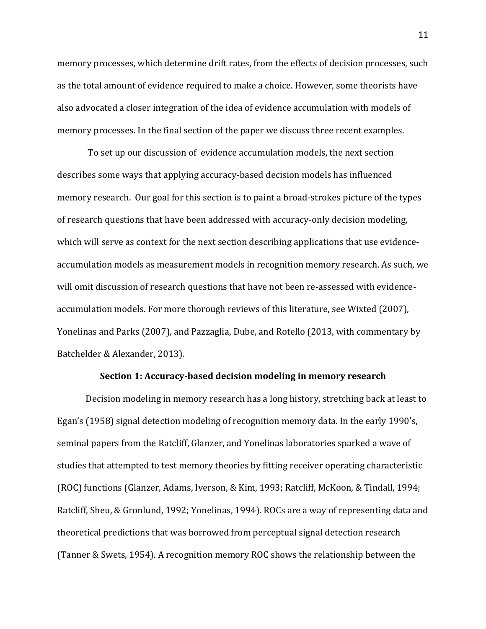memory processes, which determine drift rates, from the effects of decision processes, such as the total amount of evidence required to make a choice. However, some theorists have also advocated a closer integration of the idea of evidence accumulation with models of memory processes. In the final section of the paper we discuss three recent examples.

To set up our discussion of evidence accumulation models, the next section describes some ways that applying accuracy-based decision models has influenced memory research. Our goal for this section is to paint a broad-strokes picture of the types of research questions that have been addressed with accuracy-only decision modeling, which will serve as context for the next section describing applications that use evidenceaccumulation models as measurement models in recognition memory research. As such, we will omit discussion of research questions that have not been re-assessed with evidenceaccumulation models. For more thorough reviews of this literature, see Wixted (2007), Yonelinas and Parks (2007), and Pazzaglia, Dube, and Rotello (2013, with commentary by Batchelder & Alexander, 2013).

#### **Section 1: Accuracy-based decision modeling in memory research**

Decision modeling in memory research has a long history, stretching back at least to Egan's  $(1958)$  signal detection modeling of recognition memory data. In the early 1990's, seminal papers from the Ratcliff, Glanzer, and Yonelinas laboratories sparked a wave of studies that attempted to test memory theories by fitting receiver operating characteristic (ROC) functions (Glanzer, Adams, Iverson, & Kim, 1993; Ratcliff, McKoon, & Tindall, 1994; Ratcliff, Sheu, & Gronlund, 1992; Yonelinas, 1994). ROCs are a way of representing data and theoretical predictions that was borrowed from perceptual signal detection research (Tanner & Swets, 1954). A recognition memory ROC shows the relationship between the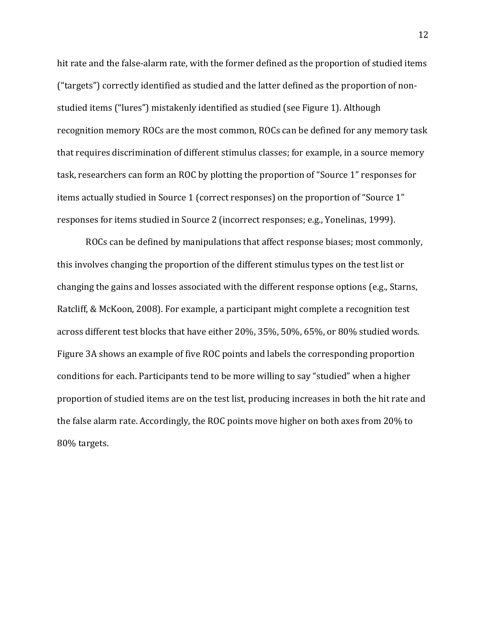hit rate and the false-alarm rate, with the former defined as the proportion of studied items ("targets") correctly identified as studied and the latter defined as the proportion of nonstudied items ("lures") mistakenly identified as studied (see Figure 1). Although recognition memory ROCs are the most common, ROCs can be defined for any memory task that requires discrimination of different stimulus classes; for example, in a source memory task, researchers can form an ROC by plotting the proportion of "Source 1" responses for items actually studied in Source 1 (correct responses) on the proportion of "Source 1" responses for items studied in Source 2 (incorrect responses; e.g., Yonelinas, 1999).

ROCs can be defined by manipulations that affect response biases; most commonly, this involves changing the proportion of the different stimulus types on the test list or changing the gains and losses associated with the different response options (e.g., Starns, Ratcliff, & McKoon, 2008). For example, a participant might complete a recognition test across different test blocks that have either 20%, 35%, 50%, 65%, or 80% studied words. Figure 3A shows an example of five ROC points and labels the corresponding proportion conditions for each. Participants tend to be more willing to say "studied" when a higher proportion of studied items are on the test list, producing increases in both the hit rate and the false alarm rate. Accordingly, the ROC points move higher on both axes from  $20\%$  to 80% targets.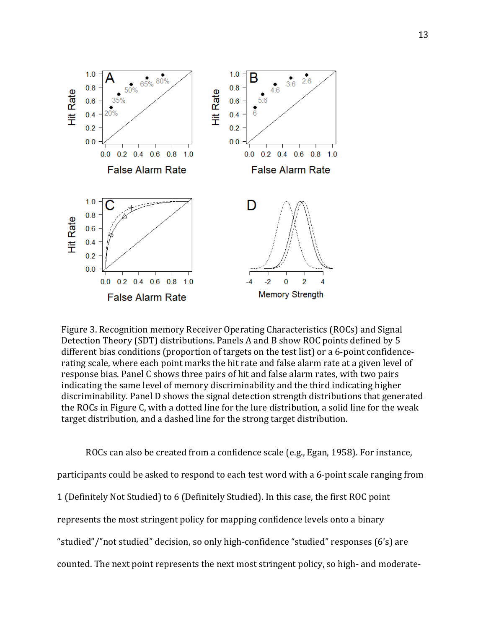

Figure 3. Recognition memory Receiver Operating Characteristics (ROCs) and Signal Detection Theory (SDT) distributions. Panels A and B show ROC points defined by 5 different bias conditions (proportion of targets on the test list) or a 6-point confidencerating scale, where each point marks the hit rate and false alarm rate at a given level of response bias. Panel C shows three pairs of hit and false alarm rates, with two pairs indicating the same level of memory discriminability and the third indicating higher discriminability. Panel D shows the signal detection strength distributions that generated the ROCs in Figure C, with a dotted line for the lure distribution, a solid line for the weak target distribution, and a dashed line for the strong target distribution.

ROCs can also be created from a confidence scale (e.g., Egan, 1958). For instance, participants could be asked to respond to each test word with a 6-point scale ranging from 1 (Definitely Not Studied) to 6 (Definitely Studied). In this case, the first ROC point represents the most stringent policy for mapping confidence levels onto a binary "studied"/"not studied" decision, so only high-confidence "studied" responses (6's) are counted. The next point represents the next most stringent policy, so high- and moderate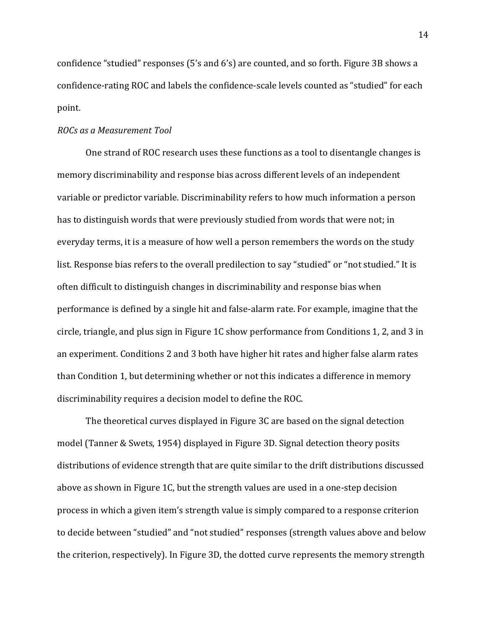confidence "studied" responses (5's and 6's) are counted, and so forth. Figure 3B shows a confidence-rating ROC and labels the confidence-scale levels counted as "studied" for each point.

#### *ROCs as a Measurement Tool*

One strand of ROC research uses these functions as a tool to disentangle changes is memory discriminability and response bias across different levels of an independent variable or predictor variable. Discriminability refers to how much information a person has to distinguish words that were previously studied from words that were not; in everyday terms, it is a measure of how well a person remembers the words on the study list. Response bias refers to the overall predilection to say "studied" or "not studied." It is often difficult to distinguish changes in discriminability and response bias when performance is defined by a single hit and false-alarm rate. For example, imagine that the circle, triangle, and plus sign in Figure 1C show performance from Conditions 1, 2, and 3 in an experiment. Conditions 2 and 3 both have higher hit rates and higher false alarm rates than Condition 1, but determining whether or not this indicates a difference in memory discriminability requires a decision model to define the ROC.

The theoretical curves displayed in Figure 3C are based on the signal detection model (Tanner & Swets, 1954) displayed in Figure 3D. Signal detection theory posits distributions of evidence strength that are quite similar to the drift distributions discussed above as shown in Figure 1C, but the strength values are used in a one-step decision process in which a given item's strength value is simply compared to a response criterion to decide between "studied" and "not studied" responses (strength values above and below the criterion, respectively). In Figure 3D, the dotted curve represents the memory strength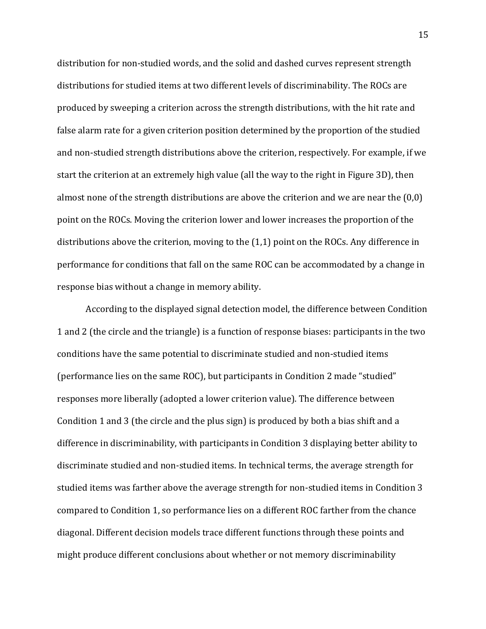distribution for non-studied words, and the solid and dashed curves represent strength distributions for studied items at two different levels of discriminability. The ROCs are produced by sweeping a criterion across the strength distributions, with the hit rate and false alarm rate for a given criterion position determined by the proportion of the studied and non-studied strength distributions above the criterion, respectively. For example, if we start the criterion at an extremely high value (all the way to the right in Figure 3D), then almost none of the strength distributions are above the criterion and we are near the  $(0,0)$ point on the ROCs. Moving the criterion lower and lower increases the proportion of the distributions above the criterion, moving to the  $(1,1)$  point on the ROCs. Any difference in performance for conditions that fall on the same ROC can be accommodated by a change in response bias without a change in memory ability.

According to the displayed signal detection model, the difference between Condition 1 and 2 (the circle and the triangle) is a function of response biases: participants in the two conditions have the same potential to discriminate studied and non-studied items (performance lies on the same ROC), but participants in Condition 2 made "studied" responses more liberally (adopted a lower criterion value). The difference between Condition 1 and 3 (the circle and the plus sign) is produced by both a bias shift and a difference in discriminability, with participants in Condition 3 displaying better ability to discriminate studied and non-studied items. In technical terms, the average strength for studied items was farther above the average strength for non-studied items in Condition 3 compared to Condition 1, so performance lies on a different ROC farther from the chance diagonal. Different decision models trace different functions through these points and might produce different conclusions about whether or not memory discriminability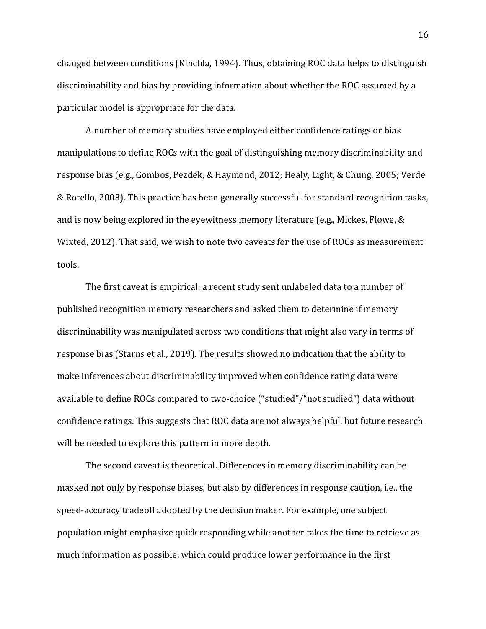changed between conditions (Kinchla, 1994). Thus, obtaining ROC data helps to distinguish discriminability and bias by providing information about whether the ROC assumed by a particular model is appropriate for the data.

A number of memory studies have employed either confidence ratings or bias manipulations to define ROCs with the goal of distinguishing memory discriminability and response bias (e.g., Gombos, Pezdek, & Haymond, 2012; Healy, Light, & Chung, 2005; Verde & Rotello, 2003). This practice has been generally successful for standard recognition tasks, and is now being explored in the eyewitness memory literature (e.g., Mickes, Flowe,  $\&$ Wixted, 2012). That said, we wish to note two caveats for the use of ROCs as measurement tools. 

The first caveat is empirical: a recent study sent unlabeled data to a number of published recognition memory researchers and asked them to determine if memory discriminability was manipulated across two conditions that might also vary in terms of response bias (Starns et al., 2019). The results showed no indication that the ability to make inferences about discriminability improved when confidence rating data were available to define ROCs compared to two-choice ("studied"/"not studied") data without confidence ratings. This suggests that ROC data are not always helpful, but future research will be needed to explore this pattern in more depth.

The second caveat is theoretical. Differences in memory discriminability can be masked not only by response biases, but also by differences in response caution, i.e., the speed-accuracy tradeoff adopted by the decision maker. For example, one subject population might emphasize quick responding while another takes the time to retrieve as much information as possible, which could produce lower performance in the first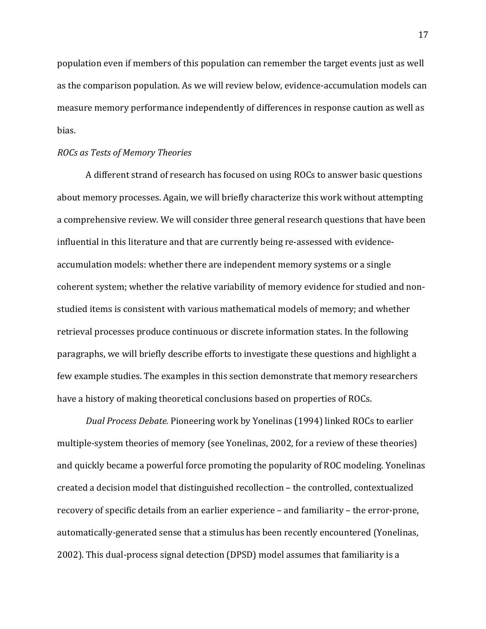population even if members of this population can remember the target events just as well as the comparison population. As we will review below, evidence-accumulation models can measure memory performance independently of differences in response caution as well as bias.

## *ROCs as Tests of Memory Theories*

A different strand of research has focused on using ROCs to answer basic questions about memory processes. Again, we will briefly characterize this work without attempting a comprehensive review. We will consider three general research questions that have been influential in this literature and that are currently being re-assessed with evidenceaccumulation models: whether there are independent memory systems or a single coherent system; whether the relative variability of memory evidence for studied and nonstudied items is consistent with various mathematical models of memory; and whether retrieval processes produce continuous or discrete information states. In the following paragraphs, we will briefly describe efforts to investigate these questions and highlight a few example studies. The examples in this section demonstrate that memory researchers have a history of making theoretical conclusions based on properties of ROCs.

*Dual Process Debate.* Pioneering work by Yonelinas (1994) linked ROCs to earlier multiple-system theories of memory (see Yonelinas, 2002, for a review of these theories) and quickly became a powerful force promoting the popularity of ROC modeling. Yonelinas created a decision model that distinguished recollection - the controlled, contextualized recovery of specific details from an earlier experience – and familiarity – the error-prone, automatically-generated sense that a stimulus has been recently encountered (Yonelinas, 2002). This dual-process signal detection (DPSD) model assumes that familiarity is a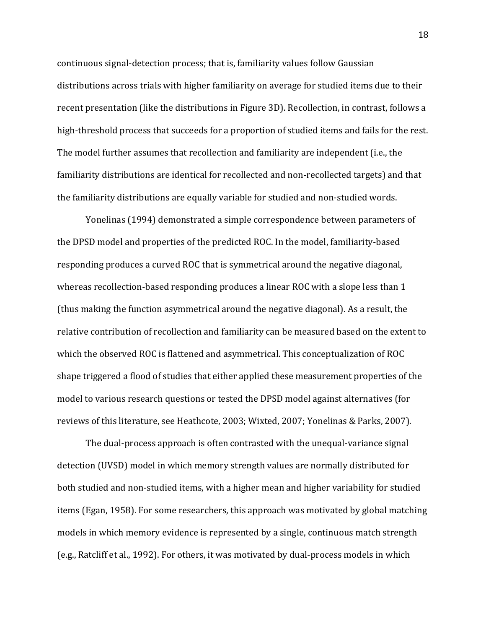continuous signal-detection process; that is, familiarity values follow Gaussian distributions across trials with higher familiarity on average for studied items due to their recent presentation (like the distributions in Figure 3D). Recollection, in contrast, follows a high-threshold process that succeeds for a proportion of studied items and fails for the rest. The model further assumes that recollection and familiarity are independent (i.e., the familiarity distributions are identical for recollected and non-recollected targets) and that the familiarity distributions are equally variable for studied and non-studied words.

Yonelinas (1994) demonstrated a simple correspondence between parameters of the DPSD model and properties of the predicted ROC. In the model, familiarity-based responding produces a curved ROC that is symmetrical around the negative diagonal, whereas recollection-based responding produces a linear ROC with a slope less than 1 (thus making the function asymmetrical around the negative diagonal). As a result, the relative contribution of recollection and familiarity can be measured based on the extent to which the observed ROC is flattened and asymmetrical. This conceptualization of ROC shape triggered a flood of studies that either applied these measurement properties of the model to various research questions or tested the DPSD model against alternatives (for reviews of this literature, see Heathcote, 2003; Wixted, 2007; Yonelinas & Parks, 2007).

The dual-process approach is often contrasted with the unequal-variance signal detection (UVSD) model in which memory strength values are normally distributed for both studied and non-studied items, with a higher mean and higher variability for studied items (Egan, 1958). For some researchers, this approach was motivated by global matching models in which memory evidence is represented by a single, continuous match strength (e.g., Ratcliff et al., 1992). For others, it was motivated by dual-process models in which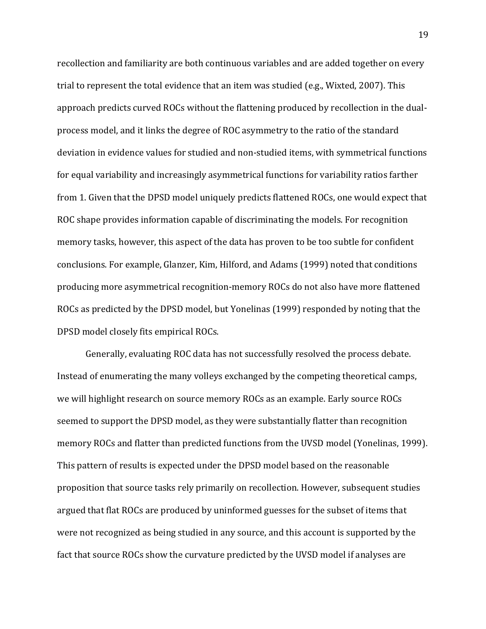recollection and familiarity are both continuous variables and are added together on every trial to represent the total evidence that an item was studied (e.g., Wixted, 2007). This approach predicts curved ROCs without the flattening produced by recollection in the dualprocess model, and it links the degree of ROC asymmetry to the ratio of the standard deviation in evidence values for studied and non-studied items, with symmetrical functions for equal variability and increasingly asymmetrical functions for variability ratios farther from 1. Given that the DPSD model uniquely predicts flattened ROCs, one would expect that ROC shape provides information capable of discriminating the models. For recognition memory tasks, however, this aspect of the data has proven to be too subtle for confident conclusions. For example, Glanzer, Kim, Hilford, and Adams (1999) noted that conditions producing more asymmetrical recognition-memory ROCs do not also have more flattened ROCs as predicted by the DPSD model, but Yonelinas (1999) responded by noting that the DPSD model closely fits empirical ROCs.

Generally, evaluating ROC data has not successfully resolved the process debate. Instead of enumerating the many volleys exchanged by the competing theoretical camps, we will highlight research on source memory ROCs as an example. Early source ROCs seemed to support the DPSD model, as they were substantially flatter than recognition memory ROCs and flatter than predicted functions from the UVSD model (Yonelinas, 1999). This pattern of results is expected under the DPSD model based on the reasonable proposition that source tasks rely primarily on recollection. However, subsequent studies argued that flat ROCs are produced by uninformed guesses for the subset of items that were not recognized as being studied in any source, and this account is supported by the fact that source ROCs show the curvature predicted by the UVSD model if analyses are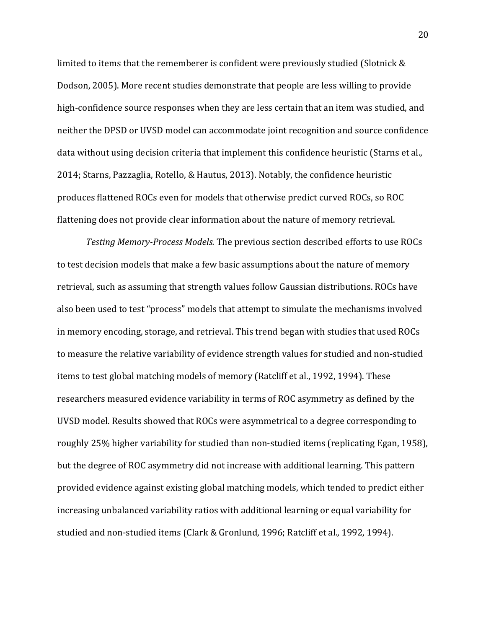limited to items that the rememberer is confident were previously studied (Slotnick  $&$ Dodson, 2005). More recent studies demonstrate that people are less willing to provide high-confidence source responses when they are less certain that an item was studied, and neither the DPSD or UVSD model can accommodate joint recognition and source confidence data without using decision criteria that implement this confidence heuristic (Starns et al., 2014; Starns, Pazzaglia, Rotello, & Hautus, 2013). Notably, the confidence heuristic produces flattened ROCs even for models that otherwise predict curved ROCs, so ROC flattening does not provide clear information about the nature of memory retrieval.

*Testing Memory-Process Models.* The previous section described efforts to use ROCs to test decision models that make a few basic assumptions about the nature of memory retrieval, such as assuming that strength values follow Gaussian distributions. ROCs have also been used to test "process" models that attempt to simulate the mechanisms involved in memory encoding, storage, and retrieval. This trend began with studies that used ROCs to measure the relative variability of evidence strength values for studied and non-studied items to test global matching models of memory (Ratcliff et al., 1992, 1994). These researchers measured evidence variability in terms of ROC asymmetry as defined by the UVSD model. Results showed that ROCs were asymmetrical to a degree corresponding to roughly 25% higher variability for studied than non-studied items (replicating Egan, 1958), but the degree of ROC asymmetry did not increase with additional learning. This pattern provided evidence against existing global matching models, which tended to predict either increasing unbalanced variability ratios with additional learning or equal variability for studied and non-studied items (Clark & Gronlund, 1996; Ratcliff et al., 1992, 1994).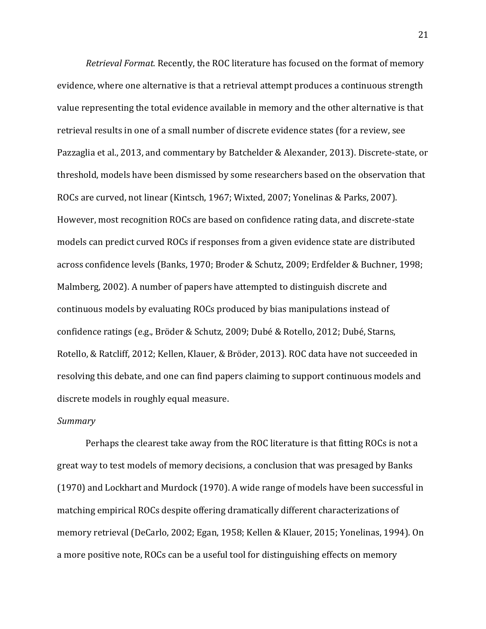*Retrieval Format.* Recently, the ROC literature has focused on the format of memory evidence, where one alternative is that a retrieval attempt produces a continuous strength value representing the total evidence available in memory and the other alternative is that retrieval results in one of a small number of discrete evidence states (for a review, see Pazzaglia et al., 2013, and commentary by Batchelder & Alexander, 2013). Discrete-state, or threshold, models have been dismissed by some researchers based on the observation that ROCs are curved, not linear (Kintsch, 1967; Wixted, 2007; Yonelinas & Parks, 2007). However, most recognition ROCs are based on confidence rating data, and discrete-state models can predict curved ROCs if responses from a given evidence state are distributed across confidence levels (Banks, 1970; Broder & Schutz, 2009; Erdfelder & Buchner, 1998; Malmberg, 2002). A number of papers have attempted to distinguish discrete and continuous models by evaluating ROCs produced by bias manipulations instead of confidence ratings (e.g., Bröder & Schutz, 2009; Dubé & Rotello, 2012; Dubé, Starns, Rotello, & Ratcliff, 2012; Kellen, Klauer, & Bröder, 2013). ROC data have not succeeded in resolving this debate, and one can find papers claiming to support continuous models and discrete models in roughly equal measure.

## *Summary*

Perhaps the clearest take away from the ROC literature is that fitting ROCs is not a great way to test models of memory decisions, a conclusion that was presaged by Banks  $(1970)$  and Lockhart and Murdock  $(1970)$ . A wide range of models have been successful in matching empirical ROCs despite offering dramatically different characterizations of memory retrieval (DeCarlo, 2002; Egan, 1958; Kellen & Klauer, 2015; Yonelinas, 1994). On a more positive note, ROCs can be a useful tool for distinguishing effects on memory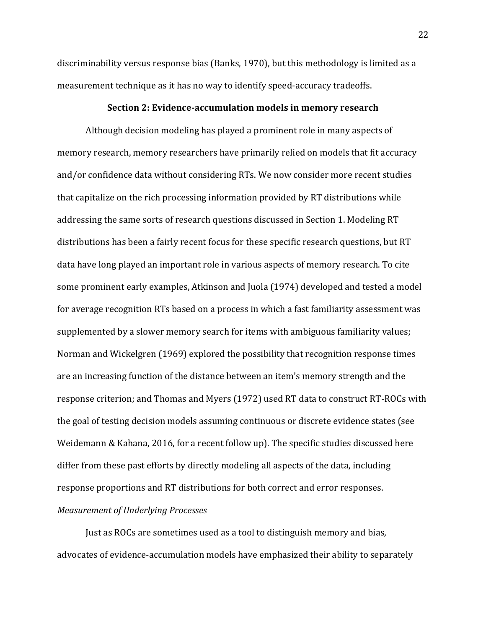discriminability versus response bias (Banks, 1970), but this methodology is limited as a measurement technique as it has no way to identify speed-accuracy tradeoffs.

#### **Section 2: Evidence-accumulation models in memory research**

Although decision modeling has played a prominent role in many aspects of memory research, memory researchers have primarily relied on models that fit accuracy and/or confidence data without considering RTs. We now consider more recent studies that capitalize on the rich processing information provided by RT distributions while addressing the same sorts of research questions discussed in Section 1. Modeling RT distributions has been a fairly recent focus for these specific research questions, but RT data have long played an important role in various aspects of memory research. To cite some prominent early examples, Atkinson and Juola (1974) developed and tested a model for average recognition RTs based on a process in which a fast familiarity assessment was supplemented by a slower memory search for items with ambiguous familiarity values; Norman and Wickelgren (1969) explored the possibility that recognition response times are an increasing function of the distance between an item's memory strength and the response criterion; and Thomas and Myers (1972) used RT data to construct RT-ROCs with the goal of testing decision models assuming continuous or discrete evidence states (see Weidemann & Kahana, 2016, for a recent follow up). The specific studies discussed here differ from these past efforts by directly modeling all aspects of the data, including response proportions and RT distributions for both correct and error responses. *Measurement of Underlying Processes*

Just as ROCs are sometimes used as a tool to distinguish memory and bias, advocates of evidence-accumulation models have emphasized their ability to separately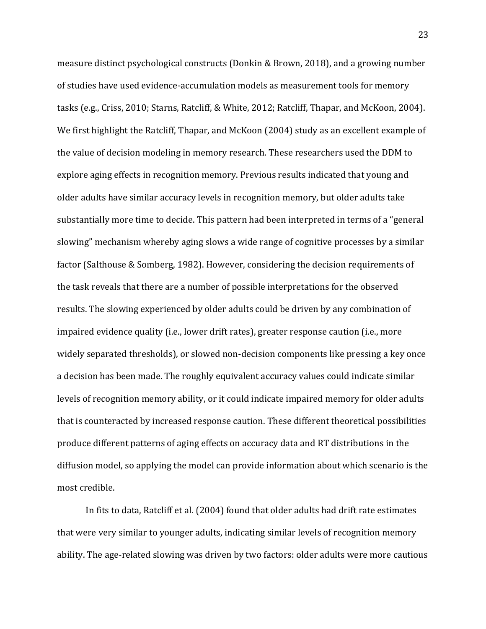measure distinct psychological constructs (Donkin & Brown, 2018), and a growing number of studies have used evidence-accumulation models as measurement tools for memory tasks (e.g., Criss, 2010; Starns, Ratcliff, & White, 2012; Ratcliff, Thapar, and McKoon, 2004). We first highlight the Ratcliff, Thapar, and McKoon (2004) study as an excellent example of the value of decision modeling in memory research. These researchers used the DDM to explore aging effects in recognition memory. Previous results indicated that young and older adults have similar accuracy levels in recognition memory, but older adults take substantially more time to decide. This pattern had been interpreted in terms of a "general slowing" mechanism whereby aging slows a wide range of cognitive processes by a similar factor (Salthouse & Somberg, 1982). However, considering the decision requirements of the task reveals that there are a number of possible interpretations for the observed results. The slowing experienced by older adults could be driven by any combination of impaired evidence quality (i.e., lower drift rates), greater response caution (i.e., more widely separated thresholds), or slowed non-decision components like pressing a key once a decision has been made. The roughly equivalent accuracy values could indicate similar levels of recognition memory ability, or it could indicate impaired memory for older adults that is counteracted by increased response caution. These different theoretical possibilities produce different patterns of aging effects on accuracy data and RT distributions in the diffusion model, so applying the model can provide information about which scenario is the most credible.

In fits to data, Ratcliff et al. (2004) found that older adults had drift rate estimates that were very similar to younger adults, indicating similar levels of recognition memory ability. The age-related slowing was driven by two factors: older adults were more cautious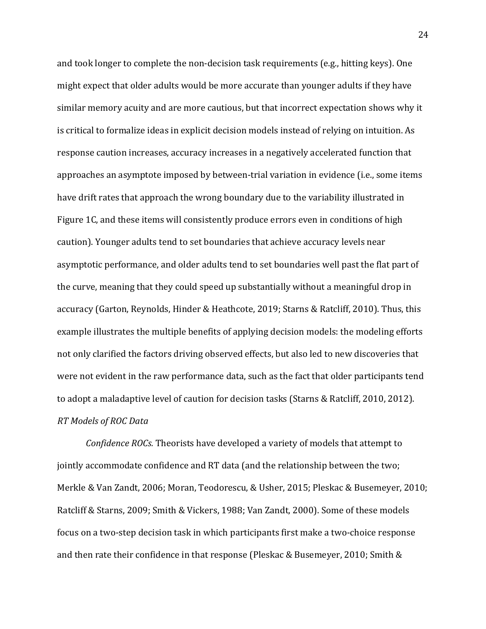and took longer to complete the non-decision task requirements (e.g., hitting keys). One might expect that older adults would be more accurate than younger adults if they have similar memory acuity and are more cautious, but that incorrect expectation shows why it is critical to formalize ideas in explicit decision models instead of relying on intuition. As response caution increases, accuracy increases in a negatively accelerated function that approaches an asymptote imposed by between-trial variation in evidence (i.e., some items have drift rates that approach the wrong boundary due to the variability illustrated in Figure 1C, and these items will consistently produce errors even in conditions of high caution). Younger adults tend to set boundaries that achieve accuracy levels near asymptotic performance, and older adults tend to set boundaries well past the flat part of the curve, meaning that they could speed up substantially without a meaningful drop in accuracy (Garton, Reynolds, Hinder & Heathcote, 2019; Starns & Ratcliff, 2010). Thus, this example illustrates the multiple benefits of applying decision models: the modeling efforts not only clarified the factors driving observed effects, but also led to new discoveries that were not evident in the raw performance data, such as the fact that older participants tend to adopt a maladaptive level of caution for decision tasks (Starns & Ratcliff, 2010, 2012). *RT Models of ROC Data*

*Confidence ROCs.* Theorists have developed a variety of models that attempt to jointly accommodate confidence and RT data (and the relationship between the two; Merkle & Van Zandt, 2006; Moran, Teodorescu, & Usher, 2015; Pleskac & Busemeyer, 2010; Ratcliff & Starns, 2009; Smith & Vickers, 1988; Van Zandt, 2000). Some of these models focus on a two-step decision task in which participants first make a two-choice response and then rate their confidence in that response (Pleskac & Busemeyer, 2010; Smith &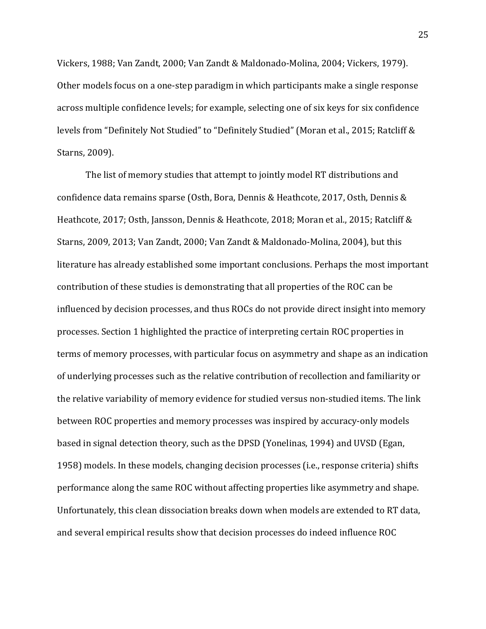Vickers, 1988; Van Zandt, 2000; Van Zandt & Maldonado-Molina, 2004; Vickers, 1979). Other models focus on a one-step paradigm in which participants make a single response across multiple confidence levels; for example, selecting one of six keys for six confidence levels from "Definitely Not Studied" to "Definitely Studied" (Moran et al., 2015; Ratcliff & Starns, 2009).

The list of memory studies that attempt to jointly model RT distributions and confidence data remains sparse (Osth, Bora, Dennis & Heathcote, 2017, Osth, Dennis & Heathcote, 2017; Osth, Jansson, Dennis & Heathcote, 2018; Moran et al., 2015; Ratcliff & Starns, 2009, 2013; Van Zandt, 2000; Van Zandt & Maldonado-Molina, 2004), but this literature has already established some important conclusions. Perhaps the most important contribution of these studies is demonstrating that all properties of the ROC can be influenced by decision processes, and thus ROCs do not provide direct insight into memory processes. Section 1 highlighted the practice of interpreting certain ROC properties in terms of memory processes, with particular focus on asymmetry and shape as an indication of underlying processes such as the relative contribution of recollection and familiarity or the relative variability of memory evidence for studied versus non-studied items. The link between ROC properties and memory processes was inspired by accuracy-only models based in signal detection theory, such as the DPSD (Yonelinas, 1994) and UVSD (Egan, 1958) models. In these models, changing decision processes (i.e., response criteria) shifts performance along the same ROC without affecting properties like asymmetry and shape. Unfortunately, this clean dissociation breaks down when models are extended to RT data, and several empirical results show that decision processes do indeed influence ROC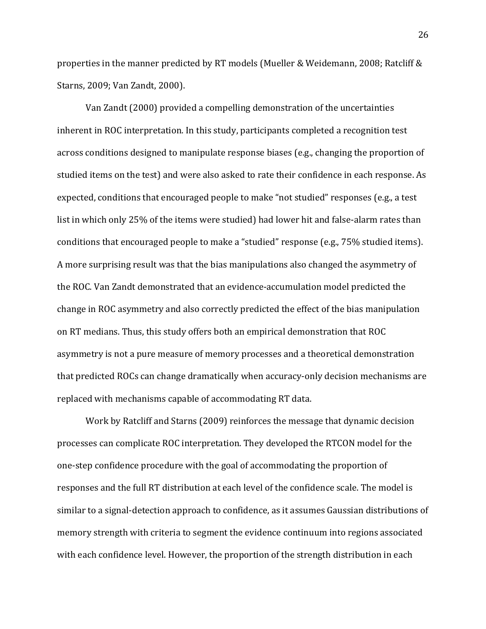properties in the manner predicted by RT models (Mueller & Weidemann, 2008; Ratcliff  $\&$ Starns, 2009; Van Zandt, 2000).

Van Zandt (2000) provided a compelling demonstration of the uncertainties inherent in ROC interpretation. In this study, participants completed a recognition test across conditions designed to manipulate response biases (e.g., changing the proportion of studied items on the test) and were also asked to rate their confidence in each response. As expected, conditions that encouraged people to make "not studied" responses (e.g., a test list in which only 25% of the items were studied) had lower hit and false-alarm rates than conditions that encouraged people to make a "studied" response (e.g., 75% studied items). A more surprising result was that the bias manipulations also changed the asymmetry of the ROC. Van Zandt demonstrated that an evidence-accumulation model predicted the change in ROC asymmetry and also correctly predicted the effect of the bias manipulation on RT medians. Thus, this study offers both an empirical demonstration that ROC asymmetry is not a pure measure of memory processes and a theoretical demonstration that predicted ROCs can change dramatically when accuracy-only decision mechanisms are replaced with mechanisms capable of accommodating RT data.

Work by Ratcliff and Starns (2009) reinforces the message that dynamic decision processes can complicate ROC interpretation. They developed the RTCON model for the one-step confidence procedure with the goal of accommodating the proportion of responses and the full RT distribution at each level of the confidence scale. The model is similar to a signal-detection approach to confidence, as it assumes Gaussian distributions of memory strength with criteria to segment the evidence continuum into regions associated with each confidence level. However, the proportion of the strength distribution in each

26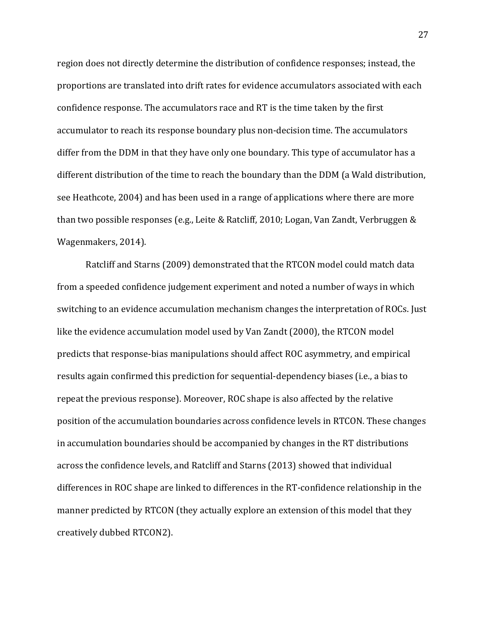region does not directly determine the distribution of confidence responses; instead, the proportions are translated into drift rates for evidence accumulators associated with each confidence response. The accumulators race and RT is the time taken by the first accumulator to reach its response boundary plus non-decision time. The accumulators differ from the DDM in that they have only one boundary. This type of accumulator has a different distribution of the time to reach the boundary than the DDM (a Wald distribution, see Heathcote, 2004) and has been used in a range of applications where there are more than two possible responses (e.g., Leite & Ratcliff, 2010; Logan, Van Zandt, Verbruggen & Wagenmakers, 2014).

Ratcliff and Starns (2009) demonstrated that the RTCON model could match data from a speeded confidence judgement experiment and noted a number of ways in which switching to an evidence accumulation mechanism changes the interpretation of ROCs. Just like the evidence accumulation model used by Van Zandt (2000), the RTCON model predicts that response-bias manipulations should affect ROC asymmetry, and empirical results again confirmed this prediction for sequential-dependency biases (i.e., a bias to repeat the previous response). Moreover, ROC shape is also affected by the relative position of the accumulation boundaries across confidence levels in RTCON. These changes in accumulation boundaries should be accompanied by changes in the RT distributions across the confidence levels, and Ratcliff and Starns (2013) showed that individual differences in ROC shape are linked to differences in the RT-confidence relationship in the manner predicted by RTCON (they actually explore an extension of this model that they creatively dubbed RTCON2).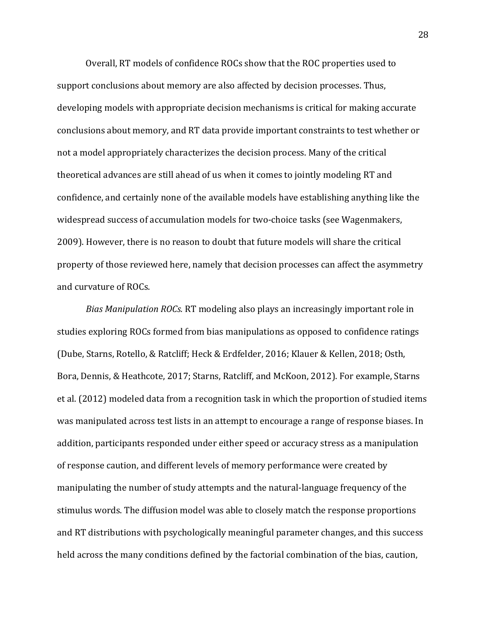Overall, RT models of confidence ROCs show that the ROC properties used to support conclusions about memory are also affected by decision processes. Thus, developing models with appropriate decision mechanisms is critical for making accurate conclusions about memory, and RT data provide important constraints to test whether or not a model appropriately characterizes the decision process. Many of the critical theoretical advances are still ahead of us when it comes to jointly modeling RT and confidence, and certainly none of the available models have establishing anything like the widespread success of accumulation models for two-choice tasks (see Wagenmakers, 2009). However, there is no reason to doubt that future models will share the critical property of those reviewed here, namely that decision processes can affect the asymmetry and curvature of ROCs.

*Bias Manipulation ROCs.* RT modeling also plays an increasingly important role in studies exploring ROCs formed from bias manipulations as opposed to confidence ratings (Dube, Starns, Rotello, & Ratcliff; Heck & Erdfelder, 2016; Klauer & Kellen, 2018; Osth, Bora, Dennis, & Heathcote, 2017; Starns, Ratcliff, and McKoon, 2012). For example, Starns et al. (2012) modeled data from a recognition task in which the proportion of studied items was manipulated across test lists in an attempt to encourage a range of response biases. In addition, participants responded under either speed or accuracy stress as a manipulation of response caution, and different levels of memory performance were created by manipulating the number of study attempts and the natural-language frequency of the stimulus words. The diffusion model was able to closely match the response proportions and RT distributions with psychologically meaningful parameter changes, and this success held across the many conditions defined by the factorial combination of the bias, caution,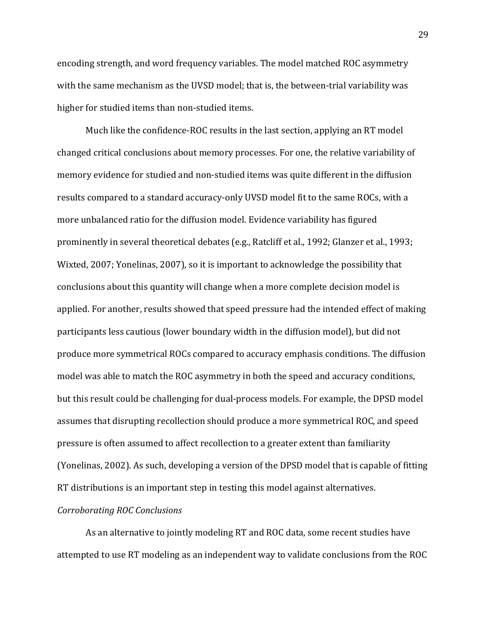encoding strength, and word frequency variables. The model matched ROC asymmetry with the same mechanism as the UVSD model; that is, the between-trial variability was higher for studied items than non-studied items.

Much like the confidence-ROC results in the last section, applying an RT model changed critical conclusions about memory processes. For one, the relative variability of memory evidence for studied and non-studied items was quite different in the diffusion results compared to a standard accuracy-only UVSD model fit to the same ROCs, with a more unbalanced ratio for the diffusion model. Evidence variability has figured prominently in several theoretical debates (e.g., Ratcliff et al., 1992; Glanzer et al., 1993; Wixted, 2007; Yonelinas, 2007), so it is important to acknowledge the possibility that conclusions about this quantity will change when a more complete decision model is applied. For another, results showed that speed pressure had the intended effect of making participants less cautious (lower boundary width in the diffusion model), but did not produce more symmetrical ROCs compared to accuracy emphasis conditions. The diffusion model was able to match the ROC asymmetry in both the speed and accuracy conditions, but this result could be challenging for dual-process models. For example, the DPSD model assumes that disrupting recollection should produce a more symmetrical ROC, and speed pressure is often assumed to affect recollection to a greater extent than familiarity (Yonelinas, 2002). As such, developing a version of the DPSD model that is capable of fitting RT distributions is an important step in testing this model against alternatives.

#### *Corroborating ROC Conclusions*

As an alternative to jointly modeling RT and ROC data, some recent studies have attempted to use RT modeling as an independent way to validate conclusions from the ROC

29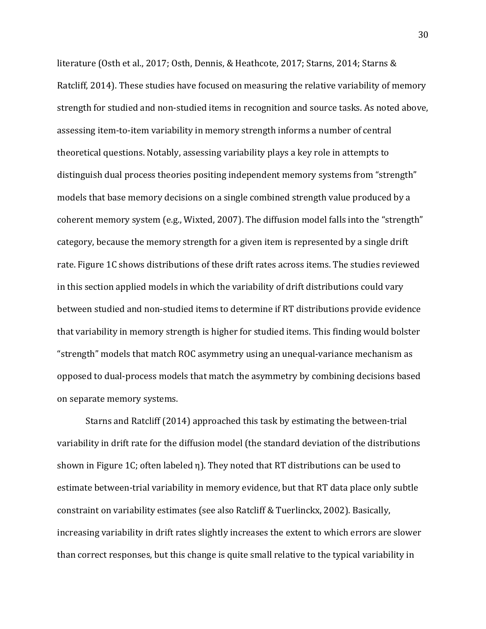literature (Osth et al., 2017; Osth, Dennis, & Heathcote, 2017; Starns, 2014; Starns & Ratcliff, 2014). These studies have focused on measuring the relative variability of memory strength for studied and non-studied items in recognition and source tasks. As noted above, assessing item-to-item variability in memory strength informs a number of central theoretical questions. Notably, assessing variability plays a key role in attempts to distinguish dual process theories positing independent memory systems from "strength" models that base memory decisions on a single combined strength value produced by a coherent memory system (e.g., Wixted, 2007). The diffusion model falls into the "strength" category, because the memory strength for a given item is represented by a single drift rate. Figure 1C shows distributions of these drift rates across items. The studies reviewed in this section applied models in which the variability of drift distributions could vary between studied and non-studied items to determine if RT distributions provide evidence that variability in memory strength is higher for studied items. This finding would bolster "strength" models that match ROC asymmetry using an unequal-variance mechanism as opposed to dual-process models that match the asymmetry by combining decisions based on separate memory systems.

Starns and Ratcliff (2014) approached this task by estimating the between-trial variability in drift rate for the diffusion model (the standard deviation of the distributions shown in Figure 1C; often labeled  $\eta$ ). They noted that RT distributions can be used to estimate between-trial variability in memory evidence, but that RT data place only subtle constraint on variability estimates (see also Ratcliff & Tuerlinckx, 2002). Basically, increasing variability in drift rates slightly increases the extent to which errors are slower than correct responses, but this change is quite small relative to the typical variability in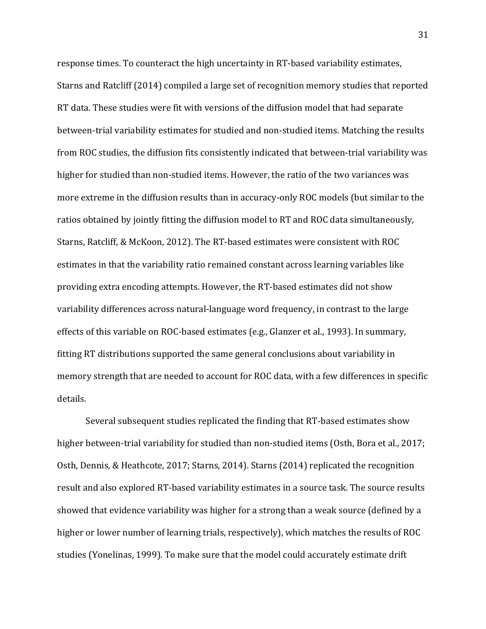response times. To counteract the high uncertainty in RT-based variability estimates, Starns and Ratcliff (2014) compiled a large set of recognition memory studies that reported RT data. These studies were fit with versions of the diffusion model that had separate between-trial variability estimates for studied and non-studied items. Matching the results from ROC studies, the diffusion fits consistently indicated that between-trial variability was higher for studied than non-studied items. However, the ratio of the two variances was more extreme in the diffusion results than in accuracy-only ROC models (but similar to the ratios obtained by jointly fitting the diffusion model to RT and ROC data simultaneously, Starns, Ratcliff, & McKoon, 2012). The RT-based estimates were consistent with ROC estimates in that the variability ratio remained constant across learning variables like providing extra encoding attempts. However, the RT-based estimates did not show variability differences across natural-language word frequency, in contrast to the large effects of this variable on ROC-based estimates (e.g., Glanzer et al., 1993). In summary, fitting RT distributions supported the same general conclusions about variability in memory strength that are needed to account for ROC data, with a few differences in specific details.

Several subsequent studies replicated the finding that RT-based estimates show higher between-trial variability for studied than non-studied items (Osth, Bora et al., 2017; Osth, Dennis, & Heathcote, 2017; Starns, 2014). Starns (2014) replicated the recognition result and also explored RT-based variability estimates in a source task. The source results showed that evidence variability was higher for a strong than a weak source (defined by a higher or lower number of learning trials, respectively), which matches the results of ROC studies (Yonelinas, 1999). To make sure that the model could accurately estimate drift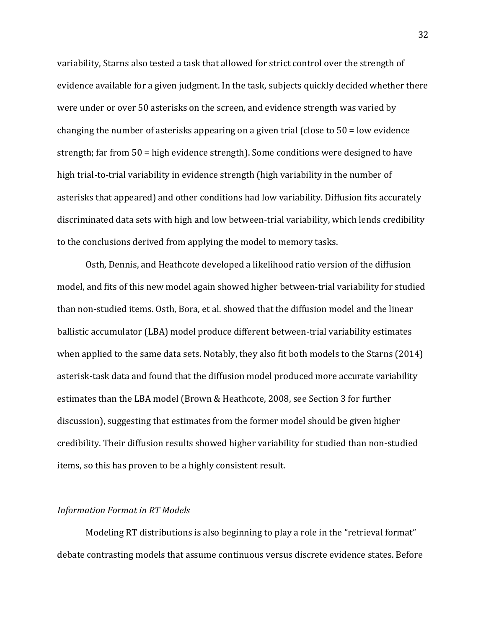variability, Starns also tested a task that allowed for strict control over the strength of evidence available for a given judgment. In the task, subjects quickly decided whether there were under or over 50 asterisks on the screen, and evidence strength was varied by changing the number of asterisks appearing on a given trial (close to  $50 =$  low evidence strength; far from  $50 =$  high evidence strength). Some conditions were designed to have high trial-to-trial variability in evidence strength (high variability in the number of asterisks that appeared) and other conditions had low variability. Diffusion fits accurately discriminated data sets with high and low between-trial variability, which lends credibility to the conclusions derived from applying the model to memory tasks.

Osth, Dennis, and Heathcote developed a likelihood ratio version of the diffusion model, and fits of this new model again showed higher between-trial variability for studied than non-studied items. Osth, Bora, et al. showed that the diffusion model and the linear ballistic accumulator (LBA) model produce different between-trial variability estimates when applied to the same data sets. Notably, they also fit both models to the Starns  $(2014)$ asterisk-task data and found that the diffusion model produced more accurate variability estimates than the LBA model (Brown & Heathcote, 2008, see Section 3 for further discussion), suggesting that estimates from the former model should be given higher credibility. Their diffusion results showed higher variability for studied than non-studied items, so this has proven to be a highly consistent result.

#### **Information Format in RT Models**

Modeling RT distributions is also beginning to play a role in the "retrieval format" debate contrasting models that assume continuous versus discrete evidence states. Before

32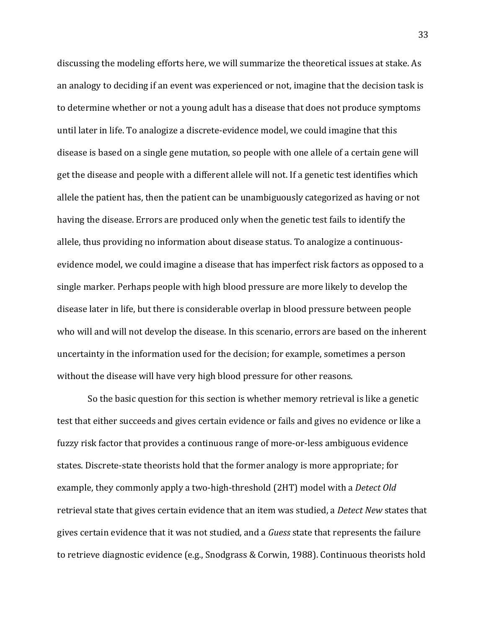discussing the modeling efforts here, we will summarize the theoretical issues at stake. As an analogy to deciding if an event was experienced or not, imagine that the decision task is to determine whether or not a young adult has a disease that does not produce symptoms until later in life. To analogize a discrete-evidence model, we could imagine that this disease is based on a single gene mutation, so people with one allele of a certain gene will get the disease and people with a different allele will not. If a genetic test identifies which allele the patient has, then the patient can be unambiguously categorized as having or not having the disease. Errors are produced only when the genetic test fails to identify the allele, thus providing no information about disease status. To analogize a continuousevidence model, we could imagine a disease that has imperfect risk factors as opposed to a single marker. Perhaps people with high blood pressure are more likely to develop the disease later in life, but there is considerable overlap in blood pressure between people who will and will not develop the disease. In this scenario, errors are based on the inherent uncertainty in the information used for the decision; for example, sometimes a person without the disease will have very high blood pressure for other reasons.

So the basic question for this section is whether memory retrieval is like a genetic test that either succeeds and gives certain evidence or fails and gives no evidence or like a fuzzy risk factor that provides a continuous range of more-or-less ambiguous evidence states. Discrete-state theorists hold that the former analogy is more appropriate; for example, they commonly apply a two-high-threshold (2HT) model with a *Detect Old* retrieval state that gives certain evidence that an item was studied, a *Detect New* states that gives certain evidence that it was not studied, and a *Guess* state that represents the failure to retrieve diagnostic evidence (e.g., Snodgrass & Corwin, 1988). Continuous theorists hold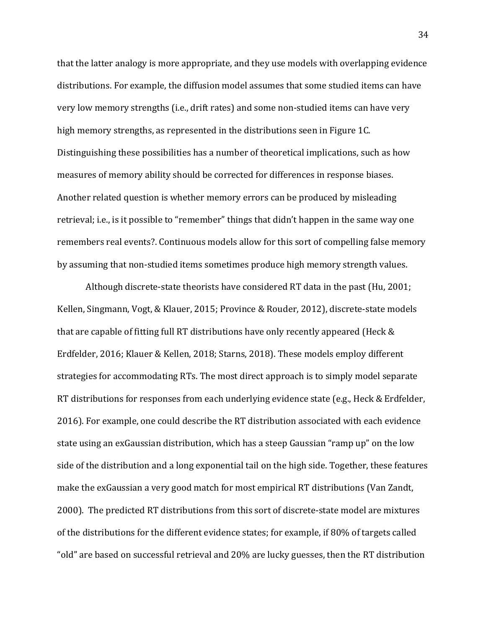that the latter analogy is more appropriate, and they use models with overlapping evidence distributions. For example, the diffusion model assumes that some studied items can have very low memory strengths (i.e., drift rates) and some non-studied items can have very high memory strengths, as represented in the distributions seen in Figure 1C. Distinguishing these possibilities has a number of theoretical implications, such as how measures of memory ability should be corrected for differences in response biases. Another related question is whether memory errors can be produced by misleading retrieval; i.e., is it possible to "remember" things that didn't happen in the same way one remembers real events?. Continuous models allow for this sort of compelling false memory by assuming that non-studied items sometimes produce high memory strength values.

Although discrete-state theorists have considered RT data in the past (Hu, 2001; Kellen, Singmann, Vogt, & Klauer, 2015; Province & Rouder, 2012), discrete-state models that are capable of fitting full RT distributions have only recently appeared (Heck  $&$ Erdfelder, 2016; Klauer & Kellen, 2018; Starns, 2018). These models employ different strategies for accommodating RTs. The most direct approach is to simply model separate RT distributions for responses from each underlying evidence state (e.g., Heck & Erdfelder, 2016). For example, one could describe the RT distribution associated with each evidence state using an exGaussian distribution, which has a steep Gaussian "ramp up" on the low side of the distribution and a long exponential tail on the high side. Together, these features make the exGaussian a very good match for most empirical RT distributions (Van Zandt, 2000). The predicted RT distributions from this sort of discrete-state model are mixtures of the distributions for the different evidence states; for example, if 80% of targets called "old" are based on successful retrieval and 20% are lucky guesses, then the RT distribution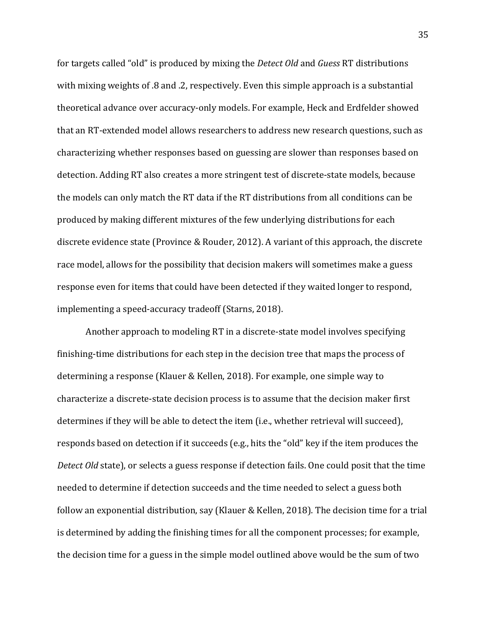for targets called "old" is produced by mixing the *Detect Old* and *Guess* RT distributions with mixing weights of .8 and .2, respectively. Even this simple approach is a substantial theoretical advance over accuracy-only models. For example, Heck and Erdfelder showed that an RT-extended model allows researchers to address new research questions, such as characterizing whether responses based on guessing are slower than responses based on detection. Adding RT also creates a more stringent test of discrete-state models, because the models can only match the RT data if the RT distributions from all conditions can be produced by making different mixtures of the few underlying distributions for each discrete evidence state (Province & Rouder, 2012). A variant of this approach, the discrete race model, allows for the possibility that decision makers will sometimes make a guess response even for items that could have been detected if they waited longer to respond, implementing a speed-accuracy tradeoff (Starns, 2018).

Another approach to modeling RT in a discrete-state model involves specifying finishing-time distributions for each step in the decision tree that maps the process of determining a response (Klauer & Kellen, 2018). For example, one simple way to characterize a discrete-state decision process is to assume that the decision maker first determines if they will be able to detect the item (i.e., whether retrieval will succeed), responds based on detection if it succeeds (e.g., hits the "old" key if the item produces the *Detect Old* state), or selects a guess response if detection fails. One could posit that the time needed to determine if detection succeeds and the time needed to select a guess both follow an exponential distribution, say (Klauer & Kellen, 2018). The decision time for a trial is determined by adding the finishing times for all the component processes; for example, the decision time for a guess in the simple model outlined above would be the sum of two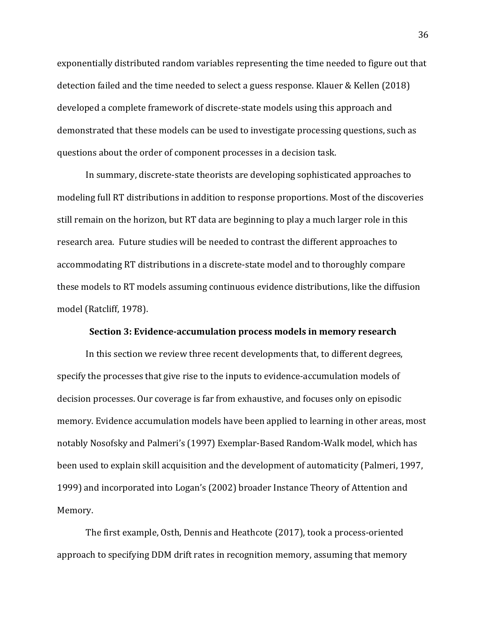exponentially distributed random variables representing the time needed to figure out that detection failed and the time needed to select a guess response. Klauer & Kellen (2018) developed a complete framework of discrete-state models using this approach and demonstrated that these models can be used to investigate processing questions, such as questions about the order of component processes in a decision task.

In summary, discrete-state theorists are developing sophisticated approaches to modeling full RT distributions in addition to response proportions. Most of the discoveries still remain on the horizon, but RT data are beginning to play a much larger role in this research area. Future studies will be needed to contrast the different approaches to accommodating RT distributions in a discrete-state model and to thoroughly compare these models to RT models assuming continuous evidence distributions, like the diffusion model (Ratcliff, 1978).

#### **Section 3: Evidence-accumulation process models in memory research**

In this section we review three recent developments that, to different degrees, specify the processes that give rise to the inputs to evidence-accumulation models of decision processes. Our coverage is far from exhaustive, and focuses only on episodic memory. Evidence accumulation models have been applied to learning in other areas, most notably Nosofsky and Palmeri's (1997) Exemplar-Based Random-Walk model, which has been used to explain skill acquisition and the development of automaticity (Palmeri, 1997, 1999) and incorporated into Logan's (2002) broader Instance Theory of Attention and Memory.

The first example, Osth, Dennis and Heathcote (2017), took a process-oriented approach to specifying DDM drift rates in recognition memory, assuming that memory 36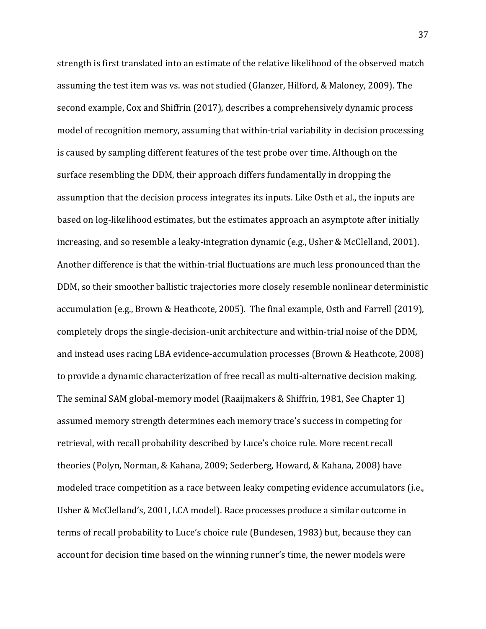strength is first translated into an estimate of the relative likelihood of the observed match assuming the test item was vs. was not studied (Glanzer, Hilford, & Maloney, 2009). The second example, Cox and Shiffrin (2017), describes a comprehensively dynamic process model of recognition memory, assuming that within-trial variability in decision processing is caused by sampling different features of the test probe over time. Although on the surface resembling the DDM, their approach differs fundamentally in dropping the assumption that the decision process integrates its inputs. Like Osth et al., the inputs are based on log-likelihood estimates, but the estimates approach an asymptote after initially increasing, and so resemble a leaky-integration dynamic (e.g., Usher & McClelland, 2001). Another difference is that the within-trial fluctuations are much less pronounced than the DDM, so their smoother ballistic trajectories more closely resemble nonlinear deterministic accumulation (e.g., Brown & Heathcote, 2005). The final example, Osth and Farrell (2019), completely drops the single-decision-unit architecture and within-trial noise of the DDM, and instead uses racing LBA evidence-accumulation processes (Brown & Heathcote, 2008) to provide a dynamic characterization of free recall as multi-alternative decision making. The seminal SAM global-memory model (Raaijmakers & Shiffrin, 1981, See Chapter 1) assumed memory strength determines each memory trace's success in competing for retrieval, with recall probability described by Luce's choice rule. More recent recall theories (Polyn, Norman, & Kahana, 2009; Sederberg, Howard, & Kahana, 2008) have modeled trace competition as a race between leaky competing evidence accumulators (i.e., Usher & McClelland's, 2001, LCA model). Race processes produce a similar outcome in terms of recall probability to Luce's choice rule (Bundesen, 1983) but, because they can account for decision time based on the winning runner's time, the newer models were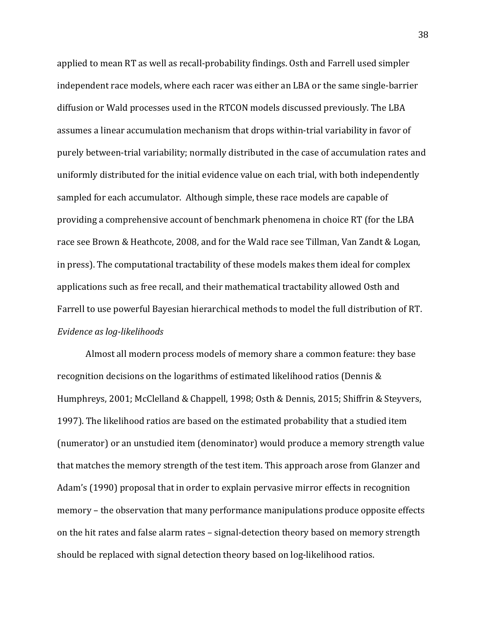applied to mean RT as well as recall-probability findings. Osth and Farrell used simpler independent race models, where each racer was either an LBA or the same single-barrier diffusion or Wald processes used in the RTCON models discussed previously. The LBA assumes a linear accumulation mechanism that drops within-trial variability in favor of purely between-trial variability; normally distributed in the case of accumulation rates and uniformly distributed for the initial evidence value on each trial, with both independently sampled for each accumulator. Although simple, these race models are capable of providing a comprehensive account of benchmark phenomena in choice RT (for the LBA race see Brown & Heathcote, 2008, and for the Wald race see Tillman, Van Zandt & Logan, in press). The computational tractability of these models makes them ideal for complex applications such as free recall, and their mathematical tractability allowed Osth and Farrell to use powerful Bayesian hierarchical methods to model the full distribution of RT. *Evidence as log-likelihoods*

Almost all modern process models of memory share a common feature: they base recognition decisions on the logarithms of estimated likelihood ratios (Dennis  $&$ Humphreys, 2001; McClelland & Chappell, 1998; Osth & Dennis, 2015; Shiffrin & Steyvers, 1997). The likelihood ratios are based on the estimated probability that a studied item (numerator) or an unstudied item (denominator) would produce a memory strength value that matches the memory strength of the test item. This approach arose from Glanzer and Adam's (1990) proposal that in order to explain pervasive mirror effects in recognition memory – the observation that many performance manipulations produce opposite effects on the hit rates and false alarm rates - signal-detection theory based on memory strength should be replaced with signal detection theory based on log-likelihood ratios.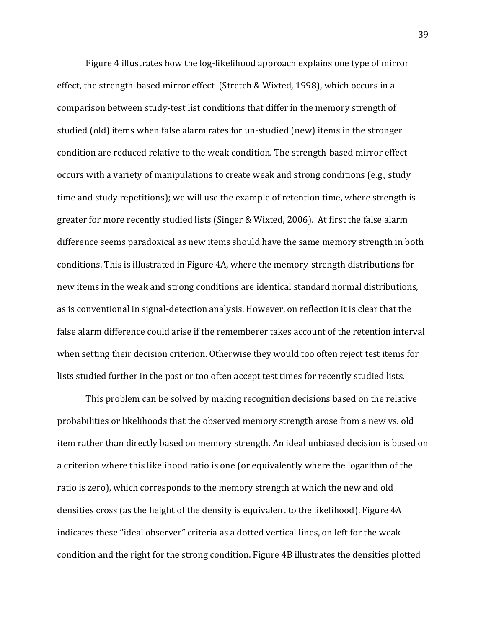Figure 4 illustrates how the log-likelihood approach explains one type of mirror effect, the strength-based mirror effect (Stretch & Wixted, 1998), which occurs in a comparison between study-test list conditions that differ in the memory strength of studied (old) items when false alarm rates for un-studied (new) items in the stronger condition are reduced relative to the weak condition. The strength-based mirror effect occurs with a variety of manipulations to create weak and strong conditions (e.g., study time and study repetitions); we will use the example of retention time, where strength is greater for more recently studied lists (Singer & Wixted, 2006). At first the false alarm difference seems paradoxical as new items should have the same memory strength in both conditions. This is illustrated in Figure 4A, where the memory-strength distributions for new items in the weak and strong conditions are identical standard normal distributions, as is conventional in signal-detection analysis. However, on reflection it is clear that the false alarm difference could arise if the rememberer takes account of the retention interval when setting their decision criterion. Otherwise they would too often reject test items for lists studied further in the past or too often accept test times for recently studied lists.

This problem can be solved by making recognition decisions based on the relative probabilities or likelihoods that the observed memory strength arose from a new vs. old item rather than directly based on memory strength. An ideal unbiased decision is based on a criterion where this likelihood ratio is one (or equivalently where the logarithm of the ratio is zero), which corresponds to the memory strength at which the new and old densities cross (as the height of the density is equivalent to the likelihood). Figure 4A indicates these "ideal observer" criteria as a dotted vertical lines, on left for the weak condition and the right for the strong condition. Figure 4B illustrates the densities plotted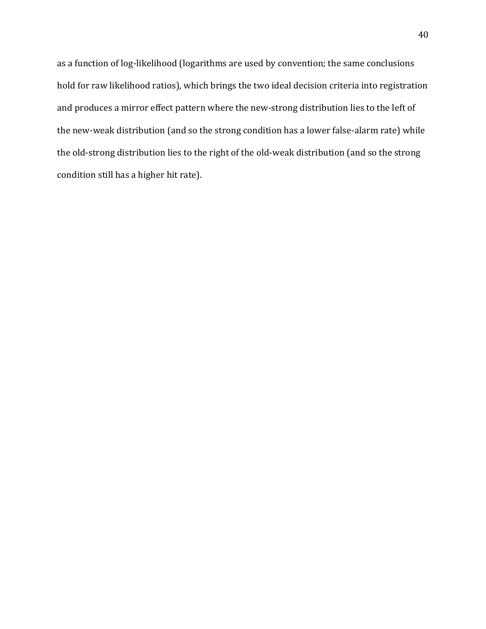as a function of log-likelihood (logarithms are used by convention; the same conclusions hold for raw likelihood ratios), which brings the two ideal decision criteria into registration and produces a mirror effect pattern where the new-strong distribution lies to the left of the new-weak distribution (and so the strong condition has a lower false-alarm rate) while the old-strong distribution lies to the right of the old-weak distribution (and so the strong condition still has a higher hit rate).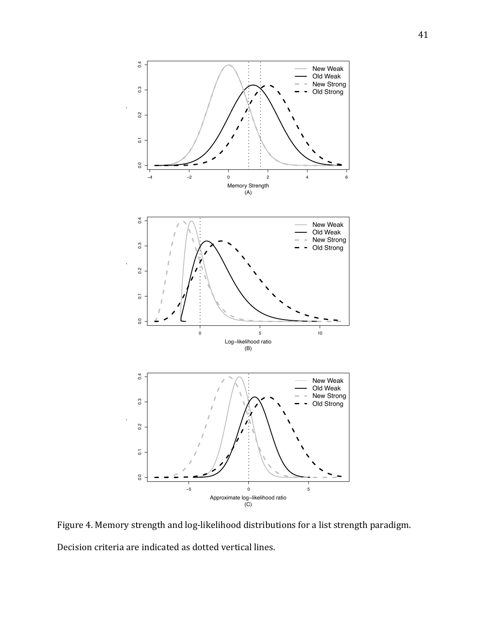

Figure 4. Memory strength and log-likelihood distributions for a list strength paradigm. Decision criteria are indicated as dotted vertical lines.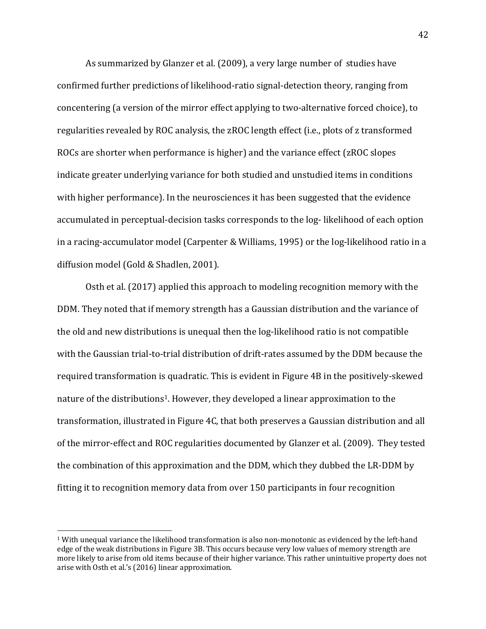As summarized by Glanzer et al. (2009), a very large number of studies have confirmed further predictions of likelihood-ratio signal-detection theory, ranging from concentering (a version of the mirror effect applying to two-alternative forced choice), to regularities revealed by ROC analysis, the zROC length effect (i.e., plots of z transformed ROCs are shorter when performance is higher) and the variance effect (zROC slopes indicate greater underlying variance for both studied and unstudied items in conditions with higher performance). In the neurosciences it has been suggested that the evidence accumulated in perceptual-decision tasks corresponds to the log- likelihood of each option in a racing-accumulator model (Carpenter & Williams, 1995) or the log-likelihood ratio in a diffusion model (Gold & Shadlen, 2001).

Osth et al.  $(2017)$  applied this approach to modeling recognition memory with the DDM. They noted that if memory strength has a Gaussian distribution and the variance of the old and new distributions is unequal then the log-likelihood ratio is not compatible with the Gaussian trial-to-trial distribution of drift-rates assumed by the DDM because the required transformation is quadratic. This is evident in Figure 4B in the positively-skewed nature of the distributions<sup>1</sup>. However, they developed a linear approximation to the transformation, illustrated in Figure 4C, that both preserves a Gaussian distribution and all of the mirror-effect and ROC regularities documented by Glanzer et al. (2009). They tested the combination of this approximation and the DDM, which they dubbed the LR-DDM by fitting it to recognition memory data from over 150 participants in four recognition

 $1$  With unequal variance the likelihood transformation is also non-monotonic as evidenced by the left-hand edge of the weak distributions in Figure 3B. This occurs because very low values of memory strength are more likely to arise from old items because of their higher variance. This rather unintuitive property does not arise with Osth et al.'s (2016) linear approximation.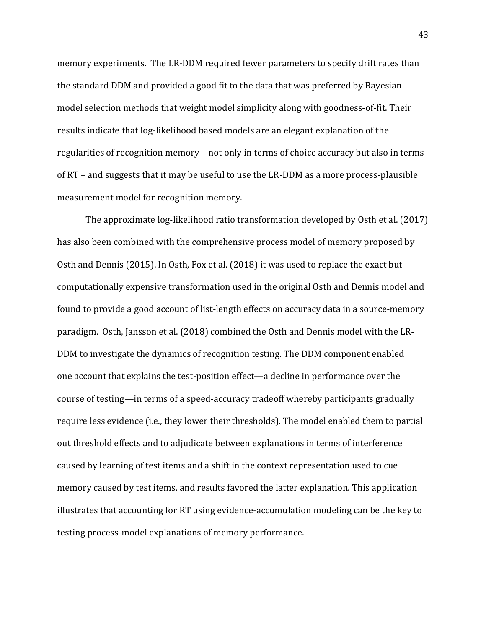memory experiments. The LR-DDM required fewer parameters to specify drift rates than the standard DDM and provided a good fit to the data that was preferred by Bayesian model selection methods that weight model simplicity along with goodness-of-fit. Their results indicate that log-likelihood based models are an elegant explanation of the regularities of recognition memory – not only in terms of choice accuracy but also in terms of  $RT$  – and suggests that it may be useful to use the LR-DDM as a more process-plausible measurement model for recognition memory.

The approximate log-likelihood ratio transformation developed by Osth et al. (2017) has also been combined with the comprehensive process model of memory proposed by Osth and Dennis (2015). In Osth, Fox et al. (2018) it was used to replace the exact but computationally expensive transformation used in the original Osth and Dennis model and found to provide a good account of list-length effects on accuracy data in a source-memory paradigm. Osth, Jansson et al. (2018) combined the Osth and Dennis model with the LR-DDM to investigate the dynamics of recognition testing. The DDM component enabled one account that explains the test-position effect—a decline in performance over the course of testing—in terms of a speed-accuracy tradeoff whereby participants gradually require less evidence (i.e., they lower their thresholds). The model enabled them to partial out threshold effects and to adjudicate between explanations in terms of interference caused by learning of test items and a shift in the context representation used to cue memory caused by test items, and results favored the latter explanation. This application illustrates that accounting for RT using evidence-accumulation modeling can be the key to testing process-model explanations of memory performance.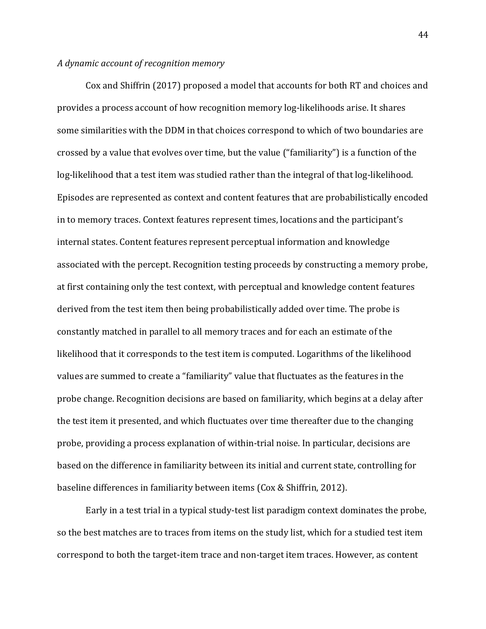### *A dynamic account of recognition memory*

Cox and Shiffrin (2017) proposed a model that accounts for both RT and choices and provides a process account of how recognition memory log-likelihoods arise. It shares some similarities with the DDM in that choices correspond to which of two boundaries are crossed by a value that evolves over time, but the value ("familiarity") is a function of the log-likelihood that a test item was studied rather than the integral of that log-likelihood. Episodes are represented as context and content features that are probabilistically encoded in to memory traces. Context features represent times, locations and the participant's internal states. Content features represent perceptual information and knowledge associated with the percept. Recognition testing proceeds by constructing a memory probe, at first containing only the test context, with perceptual and knowledge content features derived from the test item then being probabilistically added over time. The probe is constantly matched in parallel to all memory traces and for each an estimate of the likelihood that it corresponds to the test item is computed. Logarithms of the likelihood values are summed to create a "familiarity" value that fluctuates as the features in the probe change. Recognition decisions are based on familiarity, which begins at a delay after the test item it presented, and which fluctuates over time thereafter due to the changing probe, providing a process explanation of within-trial noise. In particular, decisions are based on the difference in familiarity between its initial and current state, controlling for baseline differences in familiarity between items (Cox & Shiffrin, 2012).

Early in a test trial in a typical study-test list paradigm context dominates the probe, so the best matches are to traces from items on the study list, which for a studied test item correspond to both the target-item trace and non-target item traces. However, as content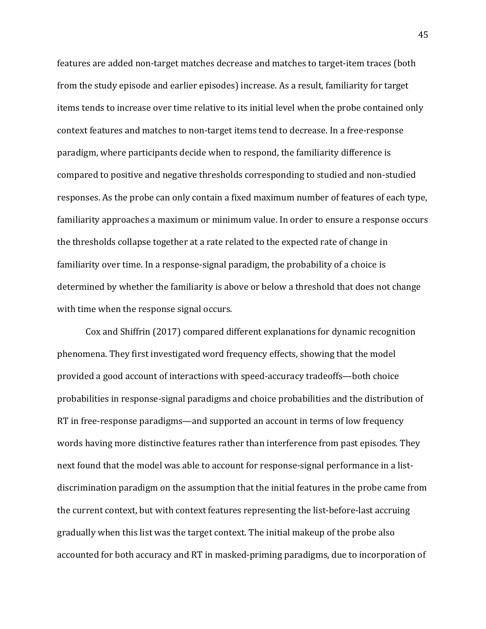features are added non-target matches decrease and matches to target-item traces (both from the study episode and earlier episodes) increase. As a result, familiarity for target items tends to increase over time relative to its initial level when the probe contained only context features and matches to non-target items tend to decrease. In a free-response paradigm, where participants decide when to respond, the familiarity difference is compared to positive and negative thresholds corresponding to studied and non-studied responses. As the probe can only contain a fixed maximum number of features of each type, familiarity approaches a maximum or minimum value. In order to ensure a response occurs the thresholds collapse together at a rate related to the expected rate of change in familiarity over time. In a response-signal paradigm, the probability of a choice is determined by whether the familiarity is above or below a threshold that does not change with time when the response signal occurs.

Cox and Shiffrin (2017) compared different explanations for dynamic recognition phenomena. They first investigated word frequency effects, showing that the model provided a good account of interactions with speed-accuracy tradeoffs—both choice probabilities in response-signal paradigms and choice probabilities and the distribution of RT in free-response paradigms—and supported an account in terms of low frequency words having more distinctive features rather than interference from past episodes. They next found that the model was able to account for response-signal performance in a listdiscrimination paradigm on the assumption that the initial features in the probe came from the current context, but with context features representing the list-before-last accruing gradually when this list was the target context. The initial makeup of the probe also accounted for both accuracy and RT in masked-priming paradigms, due to incorporation of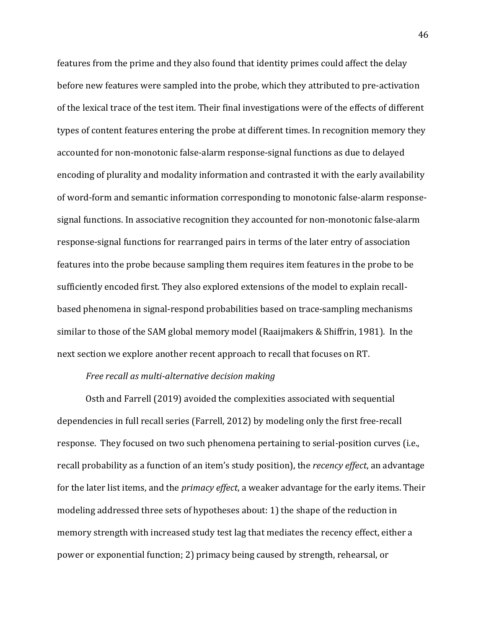features from the prime and they also found that identity primes could affect the delay before new features were sampled into the probe, which they attributed to pre-activation of the lexical trace of the test item. Their final investigations were of the effects of different types of content features entering the probe at different times. In recognition memory they accounted for non-monotonic false-alarm response-signal functions as due to delayed encoding of plurality and modality information and contrasted it with the early availability of word-form and semantic information corresponding to monotonic false-alarm responsesignal functions. In associative recognition they accounted for non-monotonic false-alarm response-signal functions for rearranged pairs in terms of the later entry of association features into the probe because sampling them requires item features in the probe to be sufficiently encoded first. They also explored extensions of the model to explain recallbased phenomena in signal-respond probabilities based on trace-sampling mechanisms similar to those of the SAM global memory model (Raaijmakers & Shiffrin, 1981). In the next section we explore another recent approach to recall that focuses on RT.

## *Free recall as multi-alternative decision making*

Osth and Farrell (2019) avoided the complexities associated with sequential dependencies in full recall series (Farrell, 2012) by modeling only the first free-recall response. They focused on two such phenomena pertaining to serial-position curves (i.e., recall probability as a function of an item's study position), the *recency effect*, an advantage for the later list items, and the *primacy effect*, a weaker advantage for the early items. Their modeling addressed three sets of hypotheses about: 1) the shape of the reduction in memory strength with increased study test lag that mediates the recency effect, either a power or exponential function; 2) primacy being caused by strength, rehearsal, or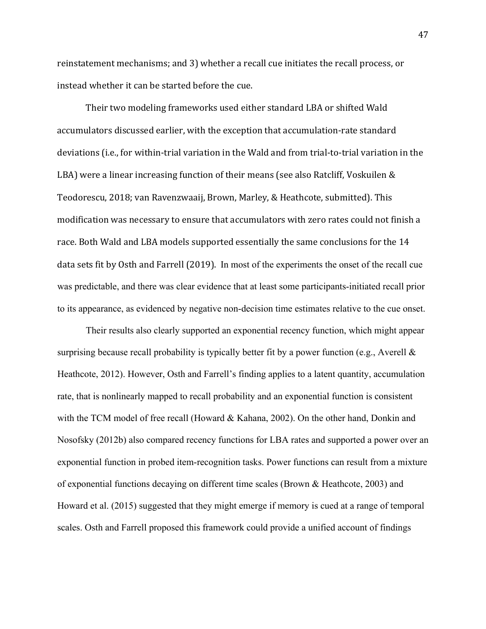reinstatement mechanisms; and 3) whether a recall cue initiates the recall process, or instead whether it can be started before the cue.

Their two modeling frameworks used either standard LBA or shifted Wald accumulators discussed earlier, with the exception that accumulation-rate standard deviations (i.e., for within-trial variation in the Wald and from trial-to-trial variation in the LBA) were a linear increasing function of their means (see also Ratcliff, Voskuilen & Teodorescu, 2018; van Ravenzwaaij, Brown, Marley, & Heathcote, submitted). This modification was necessary to ensure that accumulators with zero rates could not finish a race. Both Wald and LBA models supported essentially the same conclusions for the 14 data sets fit by Osth and Farrell (2019). In most of the experiments the onset of the recall cue was predictable, and there was clear evidence that at least some participants-initiated recall prior to its appearance, as evidenced by negative non-decision time estimates relative to the cue onset.

Their results also clearly supported an exponential recency function, which might appear surprising because recall probability is typically better fit by a power function (e.g., Averell & Heathcote, 2012). However, Osth and Farrell's finding applies to a latent quantity, accumulation rate, that is nonlinearly mapped to recall probability and an exponential function is consistent with the TCM model of free recall (Howard & Kahana, 2002). On the other hand, Donkin and Nosofsky (2012b) also compared recency functions for LBA rates and supported a power over an exponential function in probed item-recognition tasks. Power functions can result from a mixture of exponential functions decaying on different time scales (Brown & Heathcote, 2003) and Howard et al. (2015) suggested that they might emerge if memory is cued at a range of temporal scales. Osth and Farrell proposed this framework could provide a unified account of findings

47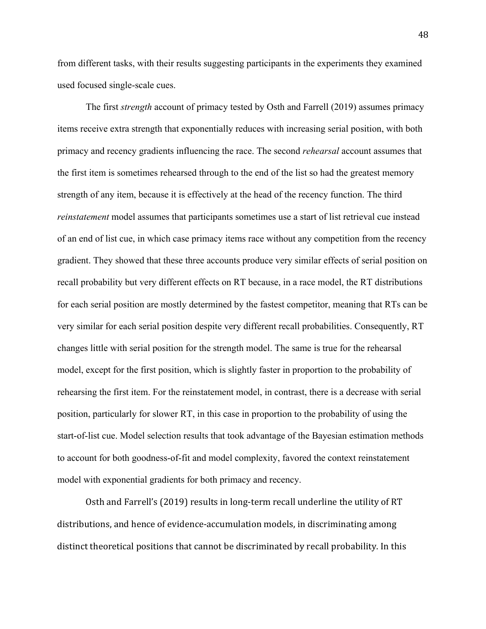from different tasks, with their results suggesting participants in the experiments they examined used focused single-scale cues.

The first *strength* account of primacy tested by Osth and Farrell (2019) assumes primacy items receive extra strength that exponentially reduces with increasing serial position, with both primacy and recency gradients influencing the race. The second *rehearsal* account assumes that the first item is sometimes rehearsed through to the end of the list so had the greatest memory strength of any item, because it is effectively at the head of the recency function. The third *reinstatement* model assumes that participants sometimes use a start of list retrieval cue instead of an end of list cue, in which case primacy items race without any competition from the recency gradient. They showed that these three accounts produce very similar effects of serial position on recall probability but very different effects on RT because, in a race model, the RT distributions for each serial position are mostly determined by the fastest competitor, meaning that RTs can be very similar for each serial position despite very different recall probabilities. Consequently, RT changes little with serial position for the strength model. The same is true for the rehearsal model, except for the first position, which is slightly faster in proportion to the probability of rehearsing the first item. For the reinstatement model, in contrast, there is a decrease with serial position, particularly for slower RT, in this case in proportion to the probability of using the start-of-list cue. Model selection results that took advantage of the Bayesian estimation methods to account for both goodness-of-fit and model complexity, favored the context reinstatement model with exponential gradients for both primacy and recency.

Osth and Farrell's (2019) results in long-term recall underline the utility of RT distributions, and hence of evidence-accumulation models, in discriminating among distinct theoretical positions that cannot be discriminated by recall probability. In this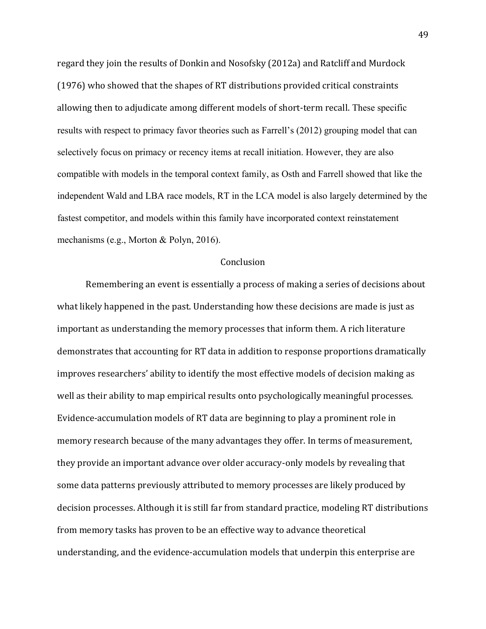regard they join the results of Donkin and Nosofsky (2012a) and Ratcliff and Murdock (1976) who showed that the shapes of RT distributions provided critical constraints allowing then to adjudicate among different models of short-term recall. These specific results with respect to primacy favor theories such as Farrell's (2012) grouping model that can selectively focus on primacy or recency items at recall initiation. However, they are also compatible with models in the temporal context family, as Osth and Farrell showed that like the independent Wald and LBA race models, RT in the LCA model is also largely determined by the fastest competitor, and models within this family have incorporated context reinstatement mechanisms (e.g., Morton & Polyn, 2016).

### Conclusion

Remembering an event is essentially a process of making a series of decisions about what likely happened in the past. Understanding how these decisions are made is just as important as understanding the memory processes that inform them. A rich literature demonstrates that accounting for RT data in addition to response proportions dramatically improves researchers' ability to identify the most effective models of decision making as well as their ability to map empirical results onto psychologically meaningful processes. Evidence-accumulation models of RT data are beginning to play a prominent role in memory research because of the many advantages they offer. In terms of measurement, they provide an important advance over older accuracy-only models by revealing that some data patterns previously attributed to memory processes are likely produced by decision processes. Although it is still far from standard practice, modeling RT distributions from memory tasks has proven to be an effective way to advance theoretical understanding, and the evidence-accumulation models that underpin this enterprise are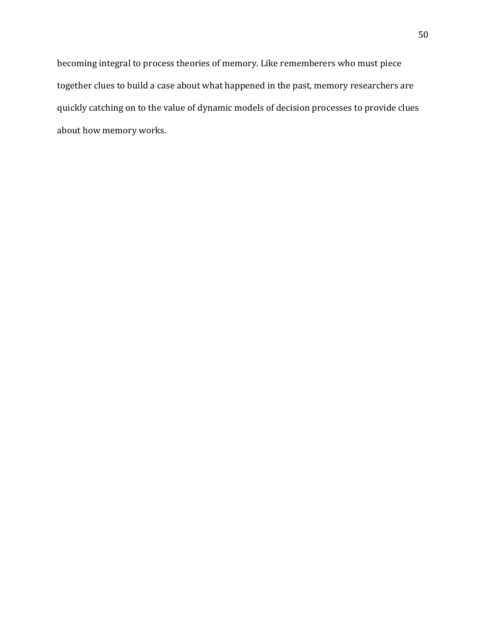becoming integral to process theories of memory. Like rememberers who must piece together clues to build a case about what happened in the past, memory researchers are quickly catching on to the value of dynamic models of decision processes to provide clues about how memory works.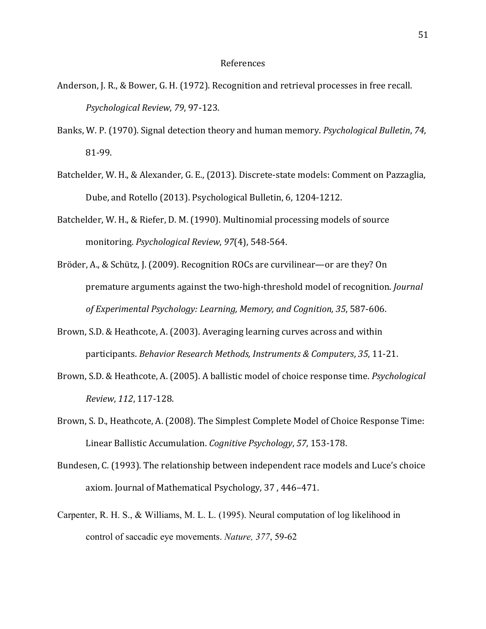#### References

- Anderson, J. R., & Bower, G. H. (1972). Recognition and retrieval processes in free recall. *Psychological Review*, *79*, 97-123.
- Banks, W. P. (1970). Signal detection theory and human memory. *Psychological Bulletin*, 74, 81-99.
- Batchelder, W. H., & Alexander, G. E., (2013). Discrete-state models: Comment on Pazzaglia, Dube, and Rotello (2013). Psychological Bulletin, 6, 1204-1212.
- Batchelder, W. H., & Riefer, D. M. (1990). Multinomial processing models of source monitoring. *Psychological Review*, *97*(4), 548-564.
- Bröder, A., & Schütz, J. (2009). Recognition ROCs are curvilinear—or are they? On premature arguments against the two-high-threshold model of recognition. *Journal* of Experimental Psychology: Learning, Memory, and Cognition, 35, 587-606.
- Brown, S.D. & Heathcote, A. (2003). Averaging learning curves across and within participants. *Behavior Research Methods, Instruments & Computers, 35, 11-21.*
- Brown, S.D. & Heathcote, A. (2005). A ballistic model of choice response time. *Psychological Review*, *112*, 117-128.
- Brown, S. D., Heathcote, A. (2008). The Simplest Complete Model of Choice Response Time: Linear Ballistic Accumulation. *Cognitive Psychology*, *57*, 153-178.
- Bundesen, C. (1993). The relationship between independent race models and Luce's choice axiom. Journal of Mathematical Psychology, 37, 446-471.
- Carpenter, R. H. S., & Williams, M. L. L. (1995). Neural computation of log likelihood in control of saccadic eye movements. *Nature, 377*, 59-62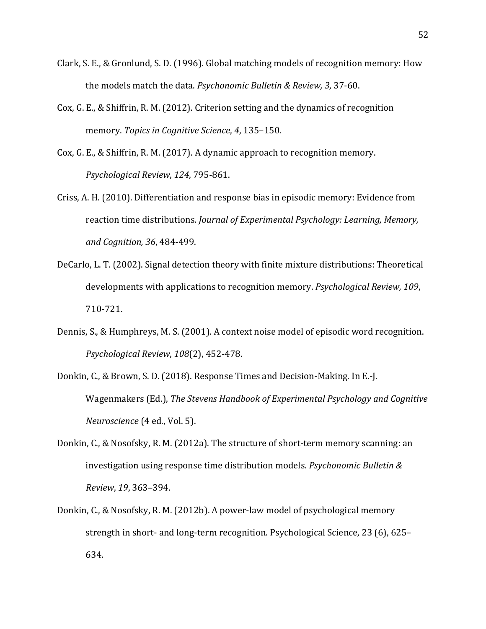- Clark, S. E., & Gronlund, S. D. (1996). Global matching models of recognition memory: How the models match the data. *Psychonomic Bulletin & Review, 3*, 37-60.
- Cox, G. E., & Shiffrin, R. M. (2012). Criterion setting and the dynamics of recognition memory. *Topics in Cognitive Science*, 4, 135-150.
- Cox, G. E., & Shiffrin, R. M. (2017). A dynamic approach to recognition memory. *Psychological Review*, *124*, 795-861.
- Criss, A. H. (2010). Differentiation and response bias in episodic memory: Evidence from reaction time distributions. *Journal of Experimental Psychology: Learning, Memory, and Cognition, 36*, 484-499.
- DeCarlo, L. T. (2002). Signal detection theory with finite mixture distributions: Theoretical developments with applications to recognition memory. *Psychological Review, 109*, 710-721.
- Dennis, S., & Humphreys, M. S. (2001). A context noise model of episodic word recognition. *Psychological Review*, *108*(2), 452-478.
- Donkin, C., & Brown, S. D. (2018). Response Times and Decision-Making. In E.-J. Wagenmakers (Ed.), *The Stevens Handbook of Experimental Psychology and Cognitive Neuroscience* (4 ed., Vol. 5).
- Donkin, C., & Nosofsky, R. M. (2012a). The structure of short-term memory scanning: an investigation using response time distribution models. *Psychonomic Bulletin & Review*, *19*, 363–394.
- Donkin, C., & Nosofsky, R. M. (2012b). A power-law model of psychological memory strength in short- and long-term recognition. Psychological Science, 23 (6), 625-634.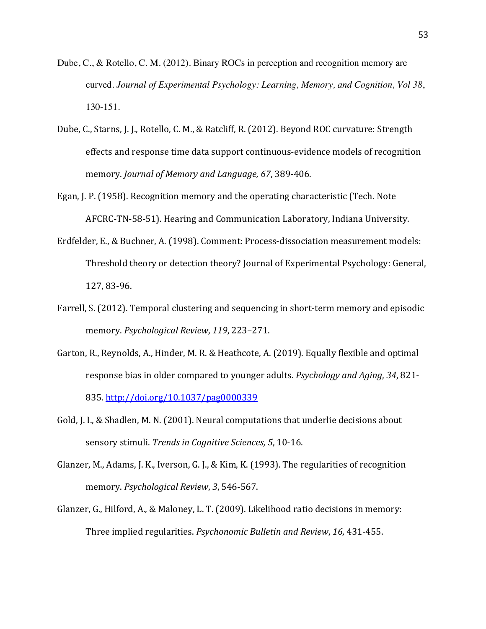- Dube, C., & Rotello, C. M. (2012). Binary ROCs in perception and recognition memory are curved. *Journal of Experimental Psychology: Learning, Memory, and Cognition, Vol 38*, 130-151.
- Dube, C., Starns, J. J., Rotello, C. M., & Ratcliff, R. (2012). Beyond ROC curvature: Strength effects and response time data support continuous-evidence models of recognition memory. *Journal of Memory and Language, 67, 389-406.*
- Egan, J. P. (1958). Recognition memory and the operating characteristic (Tech. Note AFCRC-TN-58-51). Hearing and Communication Laboratory, Indiana University.
- Erdfelder, E., & Buchner, A. (1998). Comment: Process-dissociation measurement models: Threshold theory or detection theory? Journal of Experimental Psychology: General, 127, 83-96.
- Farrell, S. (2012). Temporal clustering and sequencing in short-term memory and episodic memory. *Psychological Review*, 119, 223-271.
- Garton, R., Reynolds, A., Hinder, M. R. & Heathcote, A. (2019). Equally flexible and optimal response bias in older compared to younger adults. *Psychology and Aging*, 34, 821-835. http://doi.org/10.1037/pag0000339
- Gold, J. I., & Shadlen, M. N. (2001). Neural computations that underlie decisions about sensory stimuli. *Trends in Cognitive Sciences*, 5, 10-16.
- Glanzer, M., Adams, J. K., Iverson, G. J., & Kim, K. (1993). The regularities of recognition memory. *Psychological Review*, 3, 546-567.
- Glanzer, G., Hilford, A., & Maloney, L. T. (2009). Likelihood ratio decisions in memory: Three implied regularities. *Psychonomic Bulletin and Review*, 16, 431-455.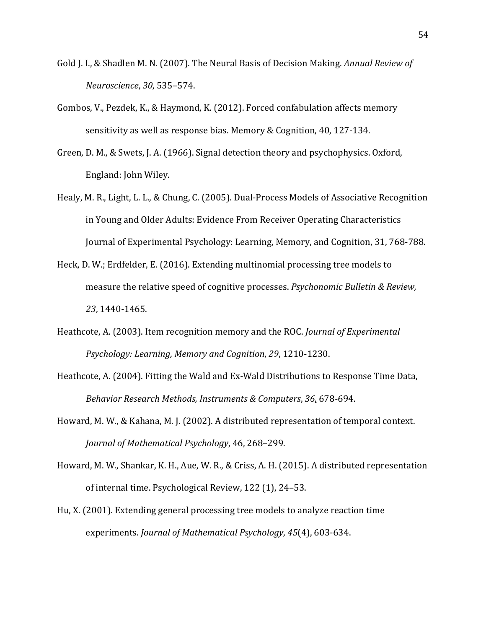- Gold J. I., & Shadlen M. N. (2007). The Neural Basis of Decision Making. Annual Review of *Neuroscience*, *30*, 535–574.
- Gombos, V., Pezdek, K., & Haymond, K. (2012). Forced confabulation affects memory sensitivity as well as response bias. Memory & Cognition, 40, 127-134.
- Green, D. M., & Swets, J. A. (1966). Signal detection theory and psychophysics. Oxford, England: John Wiley.
- Healy, M. R., Light, L. L., & Chung, C. (2005). Dual-Process Models of Associative Recognition in Young and Older Adults: Evidence From Receiver Operating Characteristics Journal of Experimental Psychology: Learning, Memory, and Cognition, 31, 768-788.
- Heck, D. W.; Erdfelder, E. (2016). Extending multinomial processing tree models to measure the relative speed of cognitive processes. *Psychonomic Bulletin & Review*, *23*, 1440-1465.
- Heathcote, A. (2003). Item recognition memory and the ROC. *Journal of Experimental Psychology: Learning, Memory and Cognition, 29, 1210-1230.*
- Heathcote, A. (2004). Fitting the Wald and Ex-Wald Distributions to Response Time Data, Behavior Research Methods, Instruments & Computers, 36, 678-694.
- Howard, M. W., & Kahana, M. J. (2002). A distributed representation of temporal context. *Journal of Mathematical Psychology*, 46, 268–299.
- Howard, M. W., Shankar, K. H., Aue, W. R., & Criss, A. H. (2015). A distributed representation of internal time. Psychological Review, 122 (1), 24–53.
- Hu, X. (2001). Extending general processing tree models to analyze reaction time experiments. *Journal of Mathematical Psychology*, 45(4), 603-634.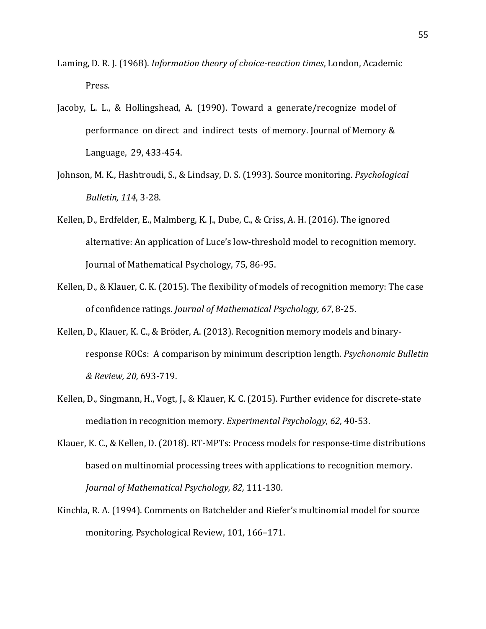- Laming, D. R. J. (1968). *Information theory of choice-reaction times*, London, Academic Press.
- Jacoby, L. L., & Hollingshead, A.  $(1990)$ . Toward a generate/recognize model of performance on direct and indirect tests of memory. Journal of Memory & Language, 29, 433-454.
- Johnson, M. K., Hashtroudi, S., & Lindsay, D. S. (1993). Source monitoring. *Psychological Bulletin, 114*, 3-28.
- Kellen, D., Erdfelder, E., Malmberg, K. J., Dube, C., & Criss, A. H. (2016). The ignored alternative: An application of Luce's low-threshold model to recognition memory. Journal of Mathematical Psychology, 75, 86-95.
- Kellen, D., & Klauer, C. K. (2015). The flexibility of models of recognition memory: The case of confidence ratings. *Journal of Mathematical Psychology, 67, 8-25.*
- Kellen, D., Klauer, K. C., & Bröder, A. (2013). Recognition memory models and binaryresponse ROCs: A comparison by minimum description length. *Psychonomic Bulletin & Review, 20,* 693-719.
- Kellen, D., Singmann, H., Vogt, J., & Klauer, K. C. (2015). Further evidence for discrete-state mediation in recognition memory. *Experimental Psychology, 62, 40-53.*
- Klauer, K. C., & Kellen, D. (2018). RT-MPTs: Process models for response-time distributions based on multinomial processing trees with applications to recognition memory. *Journal of Mathematical Psychology, 82, 111-130.*
- Kinchla, R. A. (1994). Comments on Batchelder and Riefer's multinomial model for source monitoring. Psychological Review, 101, 166-171.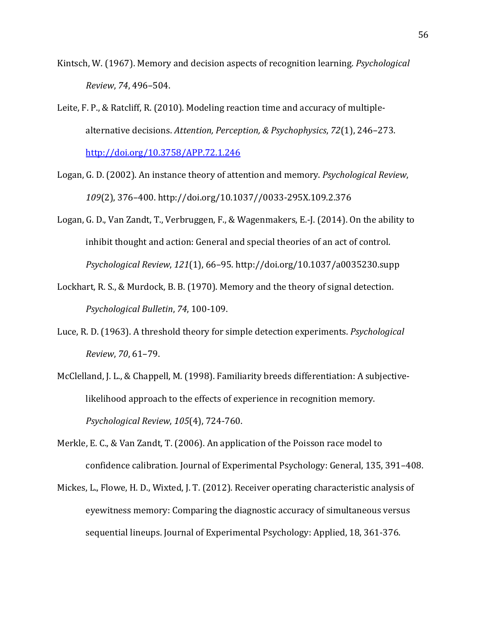- Kintsch, W. (1967). Memory and decision aspects of recognition learning. *Psychological Review*, *74*, 496–504.
- Leite, F. P., & Ratcliff, R.  $(2010)$ . Modeling reaction time and accuracy of multiplealternative decisions. Attention, Perception, & Psychophysics, 72(1), 246-273. http://doi.org/10.3758/APP.72.1.246
- Logan, G. D. (2002). An instance theory of attention and memory. *Psychological Review*, 109(2), 376-400. http://doi.org/10.1037//0033-295X.109.2.376
- Logan, G. D., Van Zandt, T., Verbruggen, F., & Wagenmakers, E.-J. (2014). On the ability to inhibit thought and action: General and special theories of an act of control. *Psychological Review*, *121*(1), 66–95. http://doi.org/10.1037/a0035230.supp
- Lockhart, R. S., & Murdock, B. B. (1970). Memory and the theory of signal detection. *Psychological Bulletin*, *74*, 100-109.
- Luce, R. D. (1963). A threshold theory for simple detection experiments. *Psychological Review*, *70*, 61–79.
- McClelland, J. L., & Chappell, M. (1998). Familiarity breeds differentiation: A subjectivelikelihood approach to the effects of experience in recognition memory. *Psychological Review*, *105*(4), 724-760.
- Merkle, E. C., & Van Zandt, T. (2006). An application of the Poisson race model to confidence calibration. Journal of Experimental Psychology: General, 135, 391–408.
- Mickes, L., Flowe, H. D., Wixted, J. T. (2012). Receiver operating characteristic analysis of eyewitness memory: Comparing the diagnostic accuracy of simultaneous versus sequential lineups. Journal of Experimental Psychology: Applied, 18, 361-376.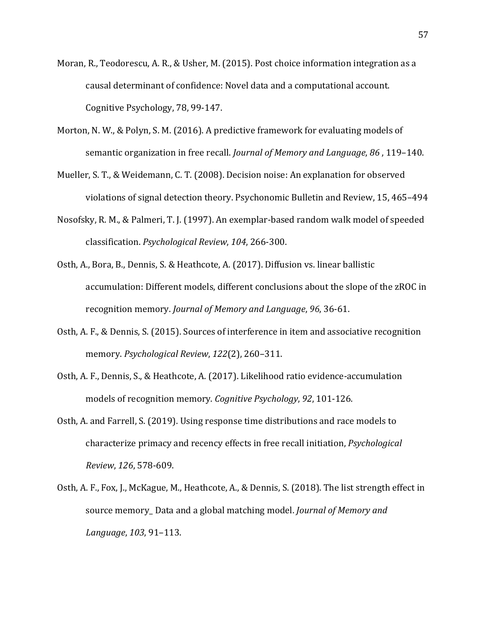- Moran, R., Teodorescu, A. R., & Usher, M. (2015). Post choice information integration as a causal determinant of confidence: Novel data and a computational account. Cognitive Psychology, 78, 99-147.
- Morton, N. W., & Polyn, S. M. (2016). A predictive framework for evaluating models of semantic organization in free recall. *Journal of Memory and Language*, 86, 119-140.
- Mueller, S. T., & Weidemann, C. T. (2008). Decision noise: An explanation for observed violations of signal detection theory. Psychonomic Bulletin and Review, 15, 465-494
- Nosofsky, R. M., & Palmeri, T. J. (1997). An exemplar-based random walk model of speeded classification. *Psychological Review*, *104*, 266-300.
- Osth, A., Bora, B., Dennis, S. & Heathcote, A. (2017). Diffusion vs. linear ballistic accumulation: Different models, different conclusions about the slope of the zROC in recognition memory. *Journal of Memory and Language*, 96, 36-61.
- Osth, A. F., & Dennis, S. (2015). Sources of interference in item and associative recognition memory. Psychological Review, 122(2), 260-311.
- Osth, A. F., Dennis, S., & Heathcote, A. (2017). Likelihood ratio evidence-accumulation models of recognition memory. *Cognitive Psychology*, 92, 101-126.
- Osth, A. and Farrell, S. (2019). Using response time distributions and race models to characterize primacy and recency effects in free recall initiation, *Psychological Review*, *126*, 578-609.
- Osth, A. F., Fox, J., McKague, M., Heathcote, A., & Dennis, S. (2018). The list strength effect in source memory\_ Data and a global matching model. *Journal of Memory and Language*, *103*, 91–113.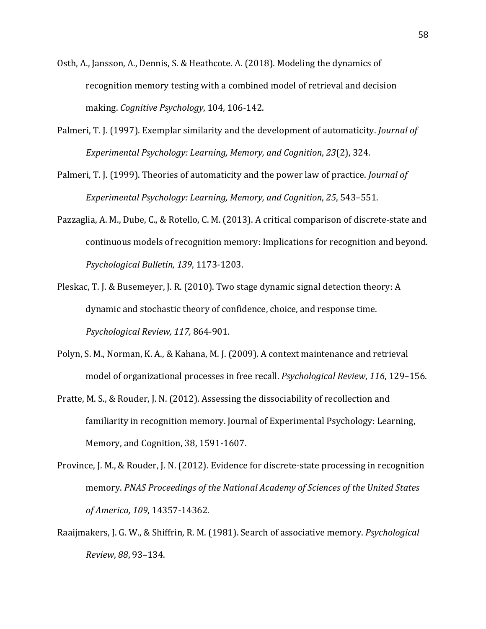- Osth, A., Jansson, A., Dennis, S. & Heathcote. A. (2018). Modeling the dynamics of recognition memory testing with a combined model of retrieval and decision making. *Cognitive Psychology*, 104, 106-142.
- Palmeri, T. J. (1997). Exemplar similarity and the development of automaticity. *Journal of Experimental Psychology: Learning, Memory, and Cognition, 23(2), 324.*
- Palmeri, T. J. (1999). Theories of automaticity and the power law of practice. *Journal of Experimental Psychology: Learning, Memory, and Cognition, 25, 543-551.*
- Pazzaglia, A. M., Dube, C., & Rotello, C. M. (2013). A critical comparison of discrete-state and continuous models of recognition memory: Implications for recognition and beyond. *Psychological Bulletin, 139*, 1173-1203.
- Pleskac, T. J. & Busemeyer, J. R. (2010). Two stage dynamic signal detection theory: A dynamic and stochastic theory of confidence, choice, and response time. *Psychological Review, 117,* 864-901*.*
- Polyn, S. M., Norman, K. A., & Kahana, M. J. (2009). A context maintenance and retrieval model of organizational processes in free recall. *Psychological Review*, 116, 129–156.
- Pratte, M. S., & Rouder, J. N. (2012). Assessing the dissociability of recollection and familiarity in recognition memory. Journal of Experimental Psychology: Learning, Memory, and Cognition, 38, 1591-1607.
- Province, J. M., & Rouder, J. N. (2012). Evidence for discrete-state processing in recognition memory. PNAS Proceedings of the National Academy of Sciences of the United States *of America, 109*, 14357-14362.
- Raaijmakers, J. G. W., & Shiffrin, R. M. (1981). Search of associative memory. *Psychological Review*, *88*, 93–134.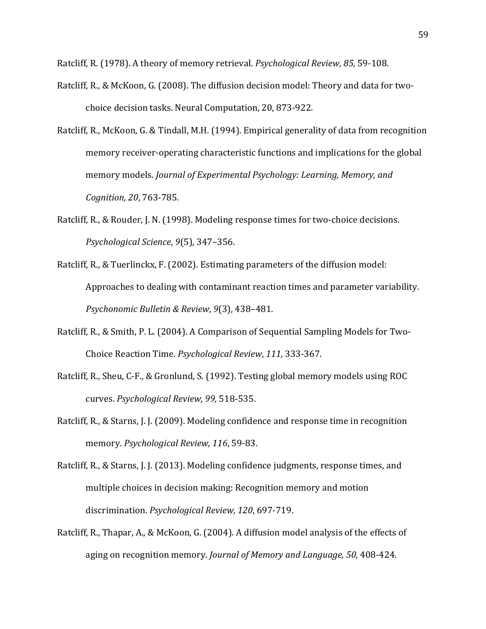Ratcliff, R. (1978). A theory of memory retrieval. *Psychological Review, 85*, 59-108.

- Ratcliff, R., & McKoon, G. (2008). The diffusion decision model: Theory and data for twochoice decision tasks. Neural Computation, 20, 873-922.
- Ratcliff, R., McKoon, G. & Tindall, M.H. (1994). Empirical generality of data from recognition memory receiver-operating characteristic functions and implications for the global memory models. *Journal of Experimental Psychology: Learning, Memory, and Cognition, 20*, 763-785.
- Ratcliff, R., & Rouder, J. N. (1998). Modeling response times for two-choice decisions. *Psychological Science*, *9*(5), 347–356.
- Ratcliff, R., & Tuerlinckx, F. (2002). Estimating parameters of the diffusion model: Approaches to dealing with contaminant reaction times and parameter variability. *Psychonomic Bulletin & Review*, *9*(3), 438–481.
- Ratcliff, R., & Smith, P. L. (2004). A Comparison of Sequential Sampling Models for Two-Choice Reaction Time. *Psychological Review*, *111*, 333-367.
- Ratcliff, R., Sheu, C-F., & Gronlund, S. (1992). Testing global memory models using ROC curves. *Psychological Review, 99,* 518-535.
- Ratcliff, R., & Starns, J. J. (2009). Modeling confidence and response time in recognition memory. Psychological Review, 116, 59-83.
- Ratcliff, R., & Starns, J. J. (2013). Modeling confidence judgments, response times, and multiple choices in decision making: Recognition memory and motion discrimination. *Psychological Review, 120, 697-719*.
- Ratcliff, R., Thapar, A., & McKoon, G. (2004). A diffusion model analysis of the effects of aging on recognition memory. *Journal of Memory and Language, 50, 408-424*.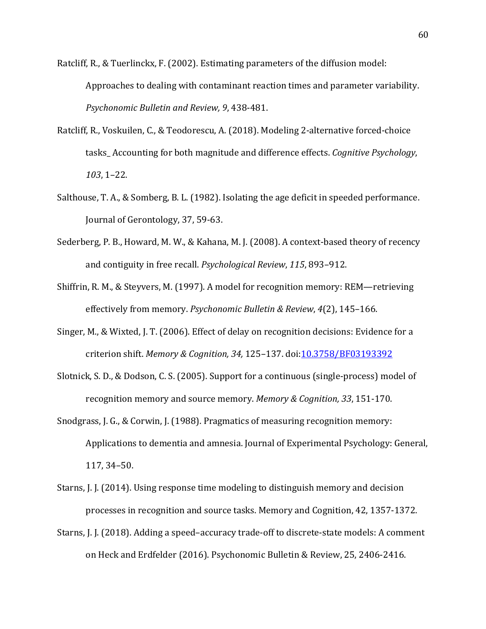Ratcliff, R., & Tuerlinckx, F. (2002). Estimating parameters of the diffusion model: Approaches to dealing with contaminant reaction times and parameter variability. *Psychonomic Bulletin and Review, 9*, 438-481.

- Ratcliff, R., Voskuilen, C., & Teodorescu, A. (2018). Modeling 2-alternative forced-choice tasks Accounting for both magnitude and difference effects. *Cognitive Psychology*, *103*, 1–22.
- Salthouse, T. A., & Somberg, B. L. (1982). Isolating the age deficit in speeded performance. Journal of Gerontology, 37, 59-63.
- Sederberg, P. B., Howard, M. W., & Kahana, M. J. (2008). A context-based theory of recency and contiguity in free recall. *Psychological Review*, 115, 893-912.
- Shiffrin, R. M., & Steyvers, M. (1997). A model for recognition memory: REM—retrieving effectively from memory. *Psychonomic Bulletin & Review*, 4(2), 145-166.
- Singer, M., & Wixted, J. T. (2006). Effect of delay on recognition decisions: Evidence for a criterion shift. Memory & Cognition, 34, 125-137. doi: 10.3758/BF03193392
- Slotnick, S. D., & Dodson, C. S. (2005). Support for a continuous (single-process) model of recognition memory and source memory. Memory & Cognition, 33, 151-170.
- Snodgrass, J. G., & Corwin, J. (1988). Pragmatics of measuring recognition memory: Applications to dementia and amnesia. Journal of Experimental Psychology: General, 117, 34–50.
- Starns, J. J. (2014). Using response time modeling to distinguish memory and decision processes in recognition and source tasks. Memory and Cognition, 42, 1357-1372.
- Starns, J. J. (2018). Adding a speed-accuracy trade-off to discrete-state models: A comment on Heck and Erdfelder (2016). Psychonomic Bulletin & Review, 25, 2406-2416.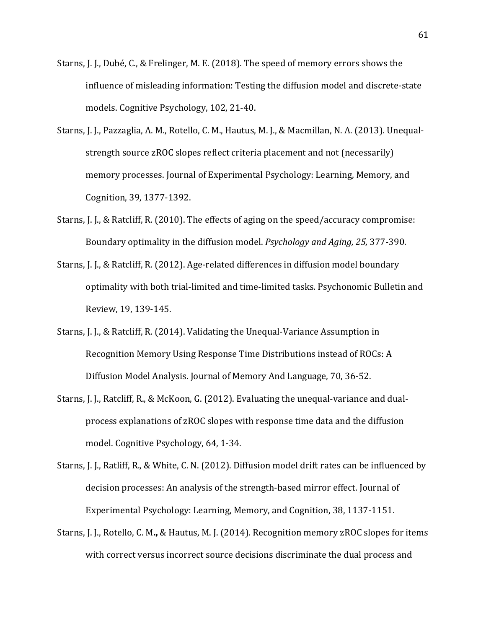- Starns, J. J., Dubé, C., & Frelinger, M. E. (2018). The speed of memory errors shows the influence of misleading information: Testing the diffusion model and discrete-state models. Cognitive Psychology, 102, 21-40.
- Starns, J. J., Pazzaglia, A. M., Rotello, C. M., Hautus, M. J., & Macmillan, N. A. (2013). Unequalstrength source zROC slopes reflect criteria placement and not (necessarily) memory processes. Journal of Experimental Psychology: Learning, Memory, and Cognition, 39, 1377-1392.
- Starns, J. J., & Ratcliff, R. (2010). The effects of aging on the speed/accuracy compromise: Boundary optimality in the diffusion model. *Psychology and Aging, 25, 377-390.*
- Starns, J. J., & Ratcliff, R. (2012). Age-related differences in diffusion model boundary optimality with both trial-limited and time-limited tasks. Psychonomic Bulletin and Review, 19, 139-145.
- Starns, J. J., & Ratcliff, R. (2014). Validating the Unequal-Variance Assumption in Recognition Memory Using Response Time Distributions instead of ROCs: A Diffusion Model Analysis. Journal of Memory And Language, 70, 36-52.
- Starns, J. J., Ratcliff, R., & McKoon, G. (2012). Evaluating the unequal-variance and dualprocess explanations of zROC slopes with response time data and the diffusion model. Cognitive Psychology, 64, 1-34.
- Starns, J. J., Ratliff, R., & White, C. N. (2012). Diffusion model drift rates can be influenced by decision processes: An analysis of the strength-based mirror effect. Journal of Experimental Psychology: Learning, Memory, and Cognition, 38, 1137-1151.
- Starns, J. J., Rotello, C. M., & Hautus, M. J. (2014). Recognition memory zROC slopes for items with correct versus incorrect source decisions discriminate the dual process and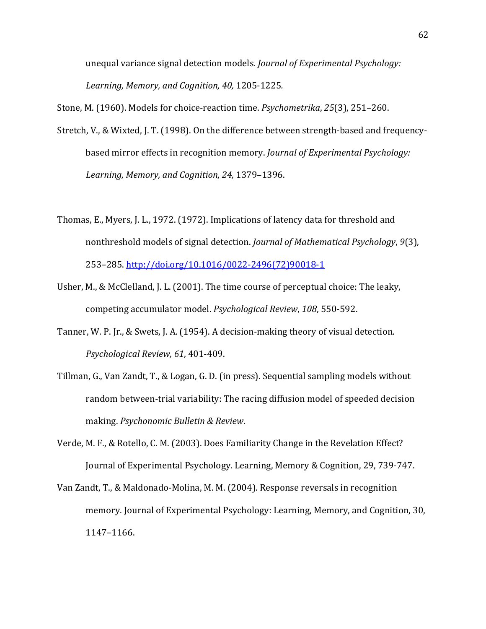unequal variance signal detection models. *Journal of Experimental Psychology:* Learning, Memory, and Cognition, 40, 1205-1225.

Stone, M. (1960). Models for choice-reaction time. *Psychometrika*, 25(3), 251–260.

- Stretch, V., & Wixted, J. T. (1998). On the difference between strength-based and frequencybased mirror effects in recognition memory. *Journal of Experimental Psychology:* Learning, Memory, and Cognition, 24, 1379-1396.
- Thomas, E., Myers, J. L., 1972. (1972). Implications of latency data for threshold and nonthreshold models of signal detection. *Journal of Mathematical Psychology*, 9(3), 253–285. http://doi.org/10.1016/0022-2496(72)90018-1
- Usher, M., & McClelland, J. L.  $(2001)$ . The time course of perceptual choice: The leaky, competing accumulator model. *Psychological Review*, 108, 550-592.
- Tanner, W. P. Jr., & Swets, J. A. (1954). A decision-making theory of visual detection. *Psychological Review, 61*, 401-409.
- Tillman, G., Van Zandt, T., & Logan, G. D. (in press). Sequential sampling models without random between-trial variability: The racing diffusion model of speeded decision making. *Psychonomic Bulletin & Review*.
- Verde, M. F., & Rotello, C. M. (2003). Does Familiarity Change in the Revelation Effect? Journal of Experimental Psychology. Learning, Memory & Cognition, 29, 739-747.
- Van Zandt, T., & Maldonado-Molina, M. M. (2004). Response reversals in recognition memory. Journal of Experimental Psychology: Learning, Memory, and Cognition, 30, 1147–1166.